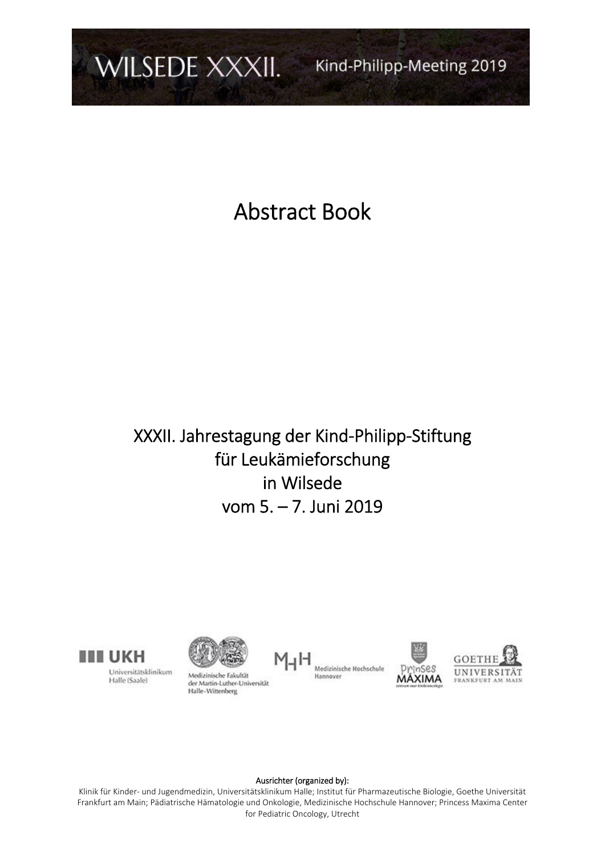

Abstract Book

# XXXII. Jahrestagung der Kind‐Philipp‐Stiftung für Leukämieforschung in Wilsede vom 5. – 7. Juni 2019



Universitätsklinikum Halle (Saale)



Medizinische Fakultät der Martin-Luther-Universität Halle-Wittenberg







## Ausrichter (organized by):

Klinik für Kinder‐ und Jugendmedizin, Universitätsklinikum Halle; Institut für Pharmazeutische Biologie, Goethe Universität Frankfurt am Main; Pädiatrische Hämatologie und Onkologie, Medizinische Hochschule Hannover; Princess Maxima Center for Pediatric Oncology, Utrecht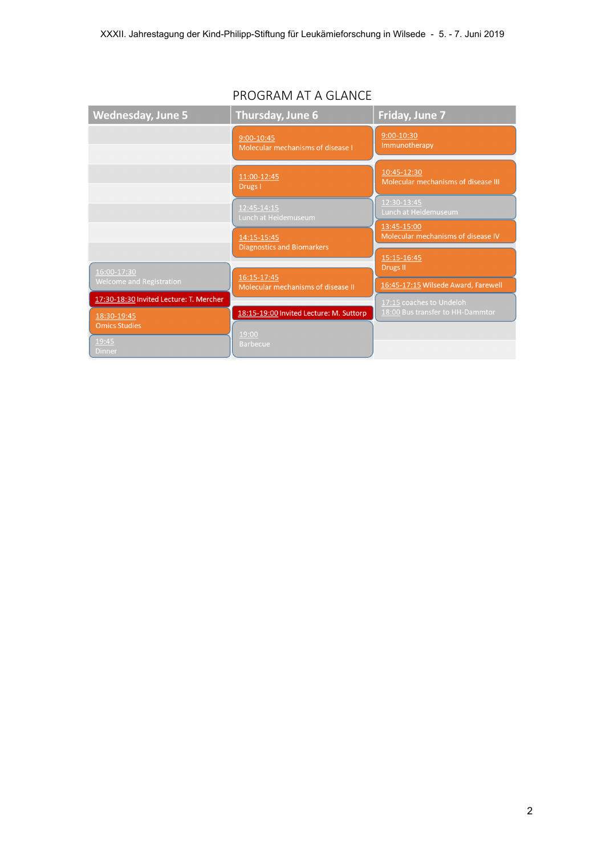| <b>Wednesday, June 5</b>                | <b>Thursday, June 6</b>                           | Friday, June 7                                               |
|-----------------------------------------|---------------------------------------------------|--------------------------------------------------------------|
|                                         | 9:00-10:45<br>Molecular mechanisms of disease I   | 9:00-10:30<br>Immunotherapy                                  |
|                                         | 11:00-12:45<br>Drugs I                            | 10:45-12:30<br>Molecular mechanisms of disease III           |
|                                         | 12:45-14:15<br>Lunch at Heidemuseum               | 12:30-13:45<br>Lunch at Heidemuseum                          |
|                                         | 14:15-15:45<br><b>Diagnostics and Biomarkers</b>  | 13:45-15:00<br>Molecular mechanisms of disease IV            |
| 16:00-17:30                             |                                                   | 15:15-16:45<br>Drugs II                                      |
| Welcome and Registration                | 16:15-17:45<br>Molecular mechanisms of disease II | 16:45-17:15 Wilsede Award, Farewell                          |
| 17:30-18:30 Invited Lecture: T. Mercher | 18:15-19:00 Invited Lecture: M. Suttorp           | 17:15 coaches to Undeloh<br>18:00 Bus transfer to HH-Dammtor |
| 18:30-19:45<br><b>Omics Studies</b>     |                                                   |                                                              |
| 19:45<br><b>Dinner</b>                  | 19:00<br><b>Barbecue</b>                          |                                                              |

# PROGRAM AT A GLANCE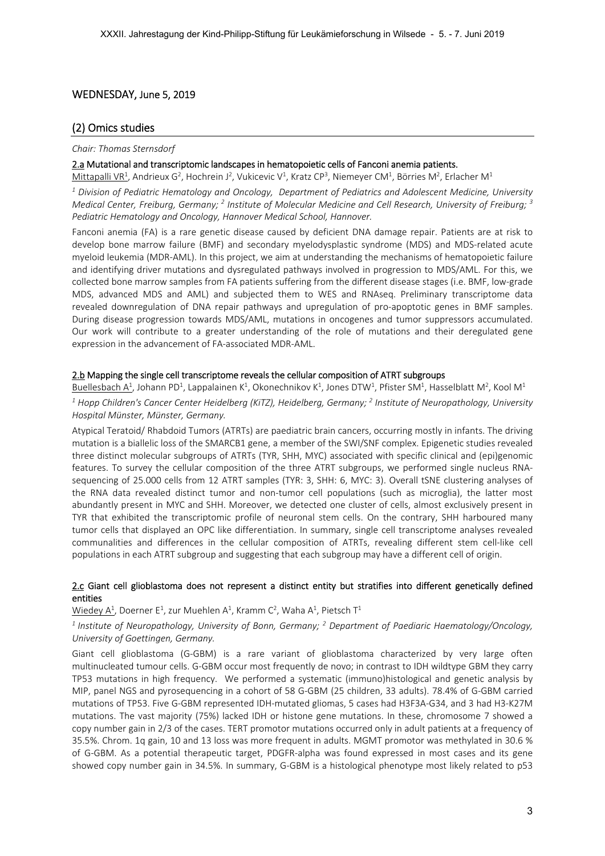# WEDNESDAY, June 5, 2019

# (2) Omics studies

#### *Chair: Thomas Sternsdorf*

## 2.a Mutational and transcriptomic landscapes in hematopoietic cells of Fanconi anemia patients.

Mittapalli VR<sup>1</sup>, Andrieux G<sup>2</sup>, Hochrein J<sup>2</sup>, Vukicevic V<sup>1</sup>, Kratz CP<sup>3</sup>, Niemeyer CM<sup>1</sup>, Börries M<sup>2</sup>, Erlacher M<sup>1</sup>

*1 Division of Pediatric Hematology and Oncology, Department of Pediatrics and Adolescent Medicine, University*  Medical Center, Freiburg, Germany; <sup>2</sup> Institute of Molecular Medicine and Cell Research, University of Freiburg; <sup>3</sup> *Pediatric Hematology and Oncology, Hannover Medical School, Hannover.* 

Fanconi anemia (FA) is a rare genetic disease caused by deficient DNA damage repair. Patients are at risk to develop bone marrow failure (BMF) and secondary myelodysplastic syndrome (MDS) and MDS‐related acute myeloid leukemia (MDR‐AML). In this project, we aim at understanding the mechanisms of hematopoietic failure and identifying driver mutations and dysregulated pathways involved in progression to MDS/AML. For this, we collected bone marrow samples from FA patients suffering from the different disease stages (i.e. BMF, low‐grade MDS, advanced MDS and AML) and subjected them to WES and RNAseq. Preliminary transcriptome data revealed downregulation of DNA repair pathways and upregulation of pro-apoptotic genes in BMF samples. During disease progression towards MDS/AML, mutations in oncogenes and tumor suppressors accumulated. Our work will contribute to a greater understanding of the role of mutations and their deregulated gene expression in the advancement of FA‐associated MDR‐AML.

# 2.b Mapping the single cell transcriptome reveals the cellular composition of ATRT subgroups

Buellesbach A<sup>1</sup>, Johann PD<sup>1</sup>, Lappalainen K<sup>1</sup>, Okonechnikov K<sup>1</sup>, Jones DTW<sup>1</sup>, Pfister SM<sup>1</sup>, Hasselblatt M<sup>2</sup>, Kool M<sup>1</sup> <sup>1</sup> Hopp Children's Cancer Center Heidelberg (KiTZ), Heidelberg, Germany; <sup>2</sup> Institute of Neuropathology, University *Hospital Münster, Münster, Germany.* 

Atypical Teratoid/ Rhabdoid Tumors (ATRTs) are paediatric brain cancers, occurring mostly in infants. The driving mutation is a biallelic loss of the SMARCB1 gene, a member of the SWI/SNF complex. Epigenetic studies revealed three distinct molecular subgroups of ATRTs (TYR, SHH, MYC) associated with specific clinical and (epi)genomic features. To survey the cellular composition of the three ATRT subgroups, we performed single nucleus RNAsequencing of 25.000 cells from 12 ATRT samples (TYR: 3, SHH: 6, MYC: 3). Overall tSNE clustering analyses of the RNA data revealed distinct tumor and non-tumor cell populations (such as microglia), the latter most abundantly present in MYC and SHH. Moreover, we detected one cluster of cells, almost exclusively present in TYR that exhibited the transcriptomic profile of neuronal stem cells. On the contrary, SHH harboured many tumor cells that displayed an OPC like differentiation. In summary, single cell transcriptome analyses revealed communalities and differences in the cellular composition of ATRTs, revealing different stem cell-like cell populations in each ATRT subgroup and suggesting that each subgroup may have a different cell of origin.

# 2.c Giant cell glioblastoma does not represent a distinct entity but stratifies into different genetically defined entities

 $\underline{\mathsf{Wiedey}\ \mathsf{A}^1}$ , Doerner E<sup>1</sup>, zur Muehlen  $\mathsf{A}^1$ , Kramm C<sup>2</sup>, Waha  $\mathsf{A}^1$ , Pietsch T<sup>1</sup>

# <sup>1</sup> Institute of Neuropathology, University of Bonn, Germany; <sup>2</sup> Department of Paediaric Haematology/Oncology, *University of Goettingen, Germany.*

Giant cell glioblastoma (G‐GBM) is a rare variant of glioblastoma characterized by very large often multinucleated tumour cells. G-GBM occur most frequently de novo; in contrast to IDH wildtype GBM they carry TP53 mutations in high frequency. We performed a systematic (immuno)histological and genetic analysis by MIP, panel NGS and pyrosequencing in a cohort of 58 G-GBM (25 children, 33 adults). 78.4% of G-GBM carried mutations of TP53. Five G-GBM represented IDH-mutated gliomas, 5 cases had H3F3A-G34, and 3 had H3-K27M mutations. The vast majority (75%) lacked IDH or histone gene mutations. In these, chromosome 7 showed a copy number gain in 2/3 of the cases. TERT promotor mutations occurred only in adult patients at a frequency of 35.5%. Chrom. 1q gain, 10 and 13 loss was more frequent in adults. MGMT promotor was methylated in 30.6 % of G-GBM. As a potential therapeutic target, PDGFR-alpha was found expressed in most cases and its gene showed copy number gain in 34.5%. In summary, G‐GBM is a histological phenotype most likely related to p53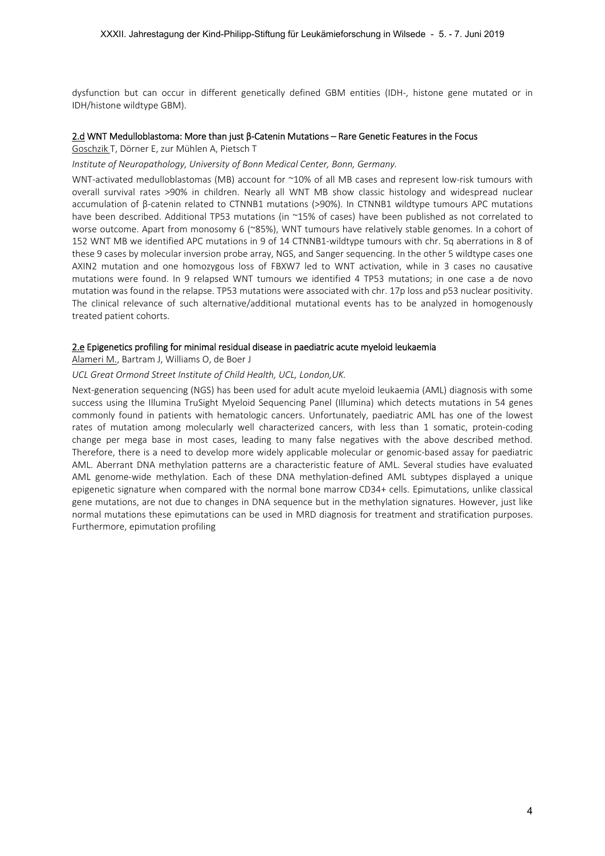dysfunction but can occur in different genetically defined GBM entities (IDH‐, histone gene mutated or in IDH/histone wildtype GBM).

# 2.d WNT Medulloblastoma: More than just β‐Catenin Mutations – Rare Genetic Features in the Focus

Goschzik T, Dörner E, zur Mühlen A, Pietsch T

## *Institute of Neuropathology, University of Bonn Medical Center, Bonn, Germany.*

WNT-activated medulloblastomas (MB) account for ~10% of all MB cases and represent low-risk tumours with overall survival rates >90% in children. Nearly all WNT MB show classic histology and widespread nuclear accumulation of β‐catenin related to CTNNB1 mutations (>90%). In CTNNB1 wildtype tumours APC mutations have been described. Additional TP53 mutations (in ~15% of cases) have been published as not correlated to worse outcome. Apart from monosomy 6 (~85%), WNT tumours have relatively stable genomes. In a cohort of 152 WNT MB we identified APC mutations in 9 of 14 CTNNB1‐wildtype tumours with chr. 5q aberrations in 8 of these 9 cases by molecular inversion probe array, NGS, and Sanger sequencing. In the other 5 wildtype cases one AXIN2 mutation and one homozygous loss of FBXW7 led to WNT activation, while in 3 cases no causative mutations were found. In 9 relapsed WNT tumours we identified 4 TP53 mutations; in one case a de novo mutation was found in the relapse. TP53 mutations were associated with chr. 17p loss and p53 nuclear positivity. The clinical relevance of such alternative/additional mutational events has to be analyzed in homogenously treated patient cohorts.

# 2.e Epigenetics profiling for minimal residual disease in paediatric acute myeloid leukaemia

Alameri M., Bartram J, Williams O, de Boer J

# *UCL Great Ormond Street Institute of Child Health, UCL, London,UK.*

Next-generation sequencing (NGS) has been used for adult acute myeloid leukaemia (AML) diagnosis with some success using the Illumina TruSight Myeloid Sequencing Panel (Illumina) which detects mutations in 54 genes commonly found in patients with hematologic cancers. Unfortunately, paediatric AML has one of the lowest rates of mutation among molecularly well characterized cancers, with less than 1 somatic, protein-coding change per mega base in most cases, leading to many false negatives with the above described method. Therefore, there is a need to develop more widely applicable molecular or genomic‐based assay for paediatric AML. Aberrant DNA methylation patterns are a characteristic feature of AML. Several studies have evaluated AML genome‐wide methylation. Each of these DNA methylation‐defined AML subtypes displayed a unique epigenetic signature when compared with the normal bone marrow CD34+ cells. Epimutations, unlike classical gene mutations, are not due to changes in DNA sequence but in the methylation signatures. However, just like normal mutations these epimutations can be used in MRD diagnosis for treatment and stratification purposes. Furthermore, epimutation profiling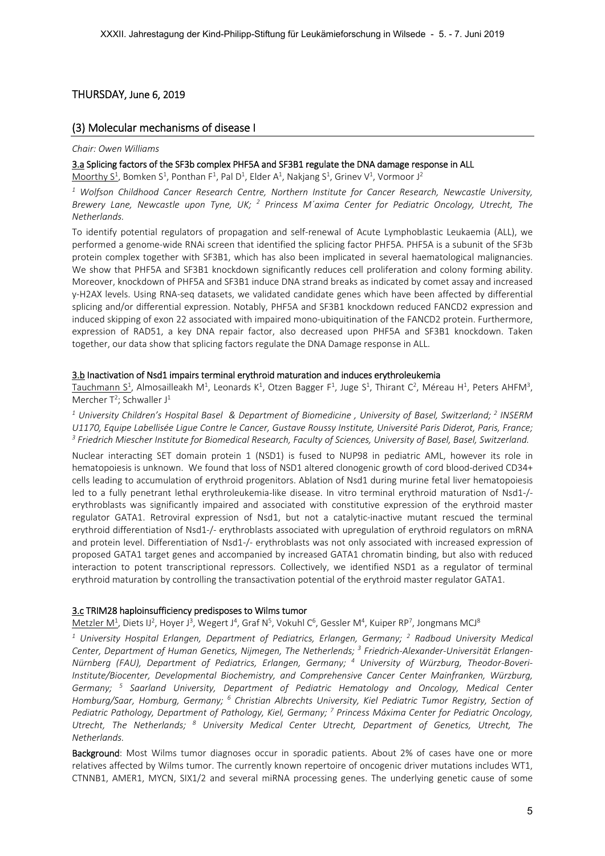# THURSDAY, June 6, 2019

# (3) Molecular mechanisms of disease I

#### *Chair: Owen Williams*

## 3.a Splicing factors of the SF3b complex PHF5A and SF3B1 regulate the DNA damage response in ALL

Moorthy S<sup>1</sup>, Bomken S<sup>1</sup>, Ponthan F<sup>1</sup>, Pal D<sup>1</sup>, Elder A<sup>1</sup>, Nakjang S<sup>1</sup>, Grinev V<sup>1</sup>, Vormoor J<sup>2</sup>

<sup>1</sup> Wolfson Childhood Cancer Research Centre, Northern Institute for Cancer Research, Newcastle University, Brewery Lane, Newcastle upon Tyne, UK; <sup>2</sup> Princess M'axima Center for Pediatric Oncology, Utrecht, The *Netherlands.* 

To identify potential regulators of propagation and self-renewal of Acute Lymphoblastic Leukaemia (ALL), we performed a genome‐wide RNAi screen that identified the splicing factor PHF5A. PHF5A is a subunit of the SF3b protein complex together with SF3B1, which has also been implicated in several haematological malignancies. We show that PHF5A and SF3B1 knockdown significantly reduces cell proliferation and colony forming ability. Moreover, knockdown of PHF5A and SF3B1 induce DNA strand breaks as indicated by comet assay and increased y‐H2AX levels. Using RNA‐seq datasets, we validated candidate genes which have been affected by differential splicing and/or differential expression. Notably, PHF5A and SF3B1 knockdown reduced FANCD2 expression and induced skipping of exon 22 associated with impaired mono‐ubiquitination of the FANCD2 protein. Furthermore, expression of RAD51, a key DNA repair factor, also decreased upon PHF5A and SF3B1 knockdown. Taken together, our data show that splicing factors regulate the DNA Damage response in ALL.

## 3.b Inactivation of Nsd1 impairs terminal erythroid maturation and induces erythroleukemia

Tauchmann S<sup>1</sup>, Almosailleakh M<sup>1</sup>, Leonards K<sup>1</sup>, Otzen Bagger F<sup>1</sup>, Juge S<sup>1</sup>, Thirant C<sup>2</sup>, Méreau H<sup>1</sup>, Peters AHFM<sup>3</sup>, Mercher  $T^2$ ; Schwaller J<sup>1</sup>

<sup>1</sup> University Children's Hospital Basel & Department of Biomedicine, University of Basel, Switzerland; <sup>2</sup> INSERM *U1170, Equipe Labellisée Ligue Contre le Cancer, Gustave Roussy Institute, Université Paris Diderot, Paris, France; 3 Friedrich Miescher Institute for Biomedical Research, Faculty of Sciences, University of Basel, Basel, Switzerland.* 

Nuclear interacting SET domain protein 1 (NSD1) is fused to NUP98 in pediatric AML, however its role in hematopoiesis is unknown. We found that loss of NSD1 altered clonogenic growth of cord blood-derived CD34+ cells leading to accumulation of erythroid progenitors. Ablation of Nsd1 during murine fetal liver hematopoiesis led to a fully penetrant lethal erythroleukemia-like disease. In vitro terminal erythroid maturation of Nsd1-/erythroblasts was significantly impaired and associated with constitutive expression of the erythroid master regulator GATA1. Retroviral expression of Nsd1, but not a catalytic-inactive mutant rescued the terminal erythroid differentiation of Nsd1‐/‐ erythroblasts associated with upregulation of erythroid regulators on mRNA and protein level. Differentiation of Nsd1-/- erythroblasts was not only associated with increased expression of proposed GATA1 target genes and accompanied by increased GATA1 chromatin binding, but also with reduced interaction to potent transcriptional repressors. Collectively, we identified NSD1 as a regulator of terminal erythroid maturation by controlling the transactivation potential of the erythroid master regulator GATA1.

# 3.c TRIM28 haploinsufficiency predisposes to Wilms tumor

Metzler M<sup>1</sup>, Diets IJ<sup>2</sup>, Hoyer J<sup>3</sup>, Wegert J<sup>4</sup>, Graf N<sup>5</sup>, Vokuhl C<sup>6</sup>, Gessler M<sup>4</sup>, Kuiper RP<sup>7</sup>, Jongmans MCJ<sup>8</sup>

<sup>1</sup> University Hospital Erlangen, Department of Pediatrics, Erlangen, Germany; <sup>2</sup> Radboud University Medical *Center, Department of Human Genetics, Nijmegen, The Netherlends; 3 Friedrich‐Alexander‐Universität Erlangen‐ Nürnberg (FAU), Department of Pediatrics, Erlangen, Germany; <sup>4</sup> University of Würzburg, Theodor‐Boveri‐ Institute/Biocenter, Developmental Biochemistry, and Comprehensive Cancer Center Mainfranken, Würzburg, Germany; <sup>5</sup> Saarland University, Department of Pediatric Hematology and Oncology, Medical Center*  Homburg/Saar, Homburg, Germany; <sup>6</sup> Christian Albrechts University, Kiel Pediatric Tumor Registry, Section of *Pediatric Pathology, Department of Pathology, Kiel, Germany; 7 Princess Máxima Center for Pediatric Oncology,*  Utrecht, The Netherlands; <sup>8</sup> University Medical Center Utrecht, Department of Genetics, Utrecht, The *Netherlands.* 

Background: Most Wilms tumor diagnoses occur in sporadic patients. About 2% of cases have one or more relatives affected by Wilms tumor. The currently known repertoire of oncogenic driver mutations includes WT1, CTNNB1, AMER1, MYCN, SIX1/2 and several miRNA processing genes. The underlying genetic cause of some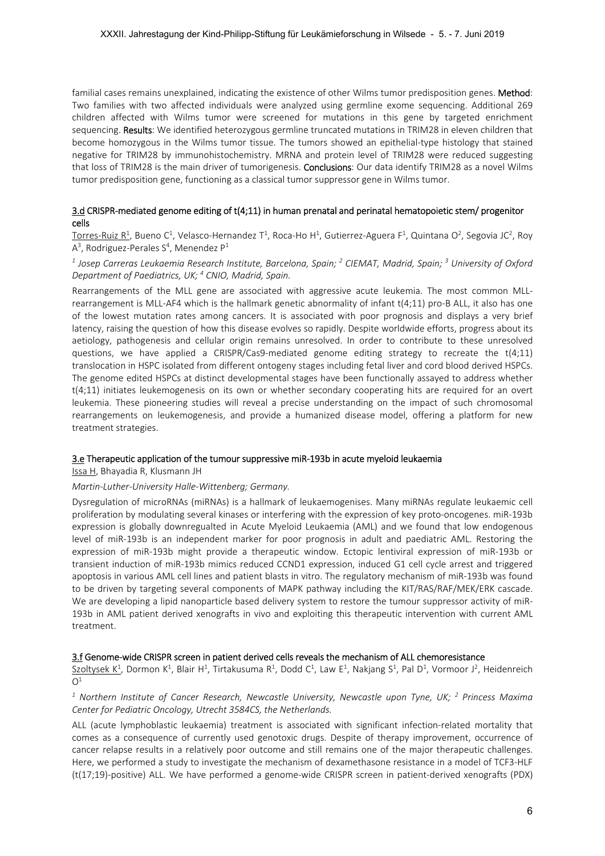familial cases remains unexplained, indicating the existence of other Wilms tumor predisposition genes. Method: Two families with two affected individuals were analyzed using germline exome sequencing. Additional 269 children affected with Wilms tumor were screened for mutations in this gene by targeted enrichment sequencing. Results: We identified heterozygous germline truncated mutations in TRIM28 in eleven children that become homozygous in the Wilms tumor tissue. The tumors showed an epithelial-type histology that stained negative for TRIM28 by immunohistochemistry. MRNA and protein level of TRIM28 were reduced suggesting that loss of TRIM28 is the main driver of tumorigenesis. Conclusions: Our data identify TRIM28 as a novel Wilms tumor predisposition gene, functioning as a classical tumor suppressor gene in Wilms tumor.

# 3.d CRISPR‐mediated genome editing of t(4;11) in human prenatal and perinatal hematopoietic stem/ progenitor cells

Torres-Ruiz R<sup>1</sup>, Bueno C<sup>1</sup>, Velasco-Hernandez T<sup>1</sup>, Roca-Ho H<sup>1</sup>, Gutierrez-Aguera F<sup>1</sup>, Quintana O<sup>2</sup>, Segovia JC<sup>2</sup>, Roy  $A<sup>3</sup>$ , Rodriguez-Perales S<sup>4</sup>, Menendez P<sup>1</sup>

# *1 Josep Carreras Leukaemia Research Institute, Barcelona, Spain; <sup>2</sup> CIEMAT, Madrid, Spain; 3 University of Oxford Department of Paediatrics, UK; 4 CNIO, Madrid, Spain.*

Rearrangements of the MLL gene are associated with aggressive acute leukemia. The most common MLL‐ rearrangement is MLL‐AF4 which is the hallmark genetic abnormality of infant t(4;11) pro‐B ALL, it also has one of the lowest mutation rates among cancers. It is associated with poor prognosis and displays a very brief latency, raising the question of how this disease evolves so rapidly. Despite worldwide efforts, progress about its aetiology, pathogenesis and cellular origin remains unresolved. In order to contribute to these unresolved questions, we have applied a CRISPR/Cas9-mediated genome editing strategy to recreate the  $t(4;11)$ translocation in HSPC isolated from different ontogeny stages including fetal liver and cord blood derived HSPCs. The genome edited HSPCs at distinct developmental stages have been functionally assayed to address whether  $t(4;11)$  initiates leukemogenesis on its own or whether secondary cooperating hits are required for an overt leukemia. These pioneering studies will reveal a precise understanding on the impact of such chromosomal rearrangements on leukemogenesis, and provide a humanized disease model, offering a platform for new treatment strategies.

## 3.e Therapeutic application of the tumour suppressive miR‐193b in acute myeloid leukaemia

Issa H, Bhayadia R, Klusmann JH

## *Martin‐Luther‐University Halle‐Wittenberg; Germany.*

Dysregulation of microRNAs (miRNAs) is a hallmark of leukaemogenises. Many miRNAs regulate leukaemic cell proliferation by modulating several kinases or interfering with the expression of key proto‐oncogenes. miR‐193b expression is globally downregualted in Acute Myeloid Leukaemia (AML) and we found that low endogenous level of miR-193b is an independent marker for poor prognosis in adult and paediatric AML. Restoring the expression of miR‐193b might provide a therapeutic window. Ectopic lentiviral expression of miR‐193b or transient induction of miR‐193b mimics reduced CCND1 expression, induced G1 cell cycle arrest and triggered apoptosis in various AML cell lines and patient blasts in vitro. The regulatory mechanism of miR‐193b was found to be driven by targeting several components of MAPK pathway including the KIT/RAS/RAF/MEK/ERK cascade. We are developing a lipid nanoparticle based delivery system to restore the tumour suppressor activity of miR-193b in AML patient derived xenografts in vivo and exploiting this therapeutic intervention with current AML treatment.

## 3.f Genome‐wide CRISPR screen in patient derived cells reveals the mechanism of ALL chemoresistance

Szoltysek K<sup>1</sup>, Dormon K<sup>1</sup>, Blair H<sup>1</sup>, Tirtakusuma R<sup>1</sup>, Dodd C<sup>1</sup>, Law E<sup>1</sup>, Nakjang S<sup>1</sup>, Pal D<sup>1</sup>, Vormoor J<sup>2</sup>, Heidenreich  $O<sup>1</sup>$ 

## <sup>1</sup> Northern Institute of Cancer Research, Newcastle University, Newcastle upon Tyne, UK; <sup>2</sup> Princess Maxima *Center for Pediatric Oncology, Utrecht 3584CS, the Netherlands.*

ALL (acute lymphoblastic leukaemia) treatment is associated with significant infection‐related mortality that comes as a consequence of currently used genotoxic drugs. Despite of therapy improvement, occurrence of cancer relapse results in a relatively poor outcome and still remains one of the major therapeutic challenges. Here, we performed a study to investigate the mechanism of dexamethasone resistance in a model of TCF3‐HLF (t(17;19)‐positive) ALL. We have performed a genome‐wide CRISPR screen in patient‐derived xenografts (PDX)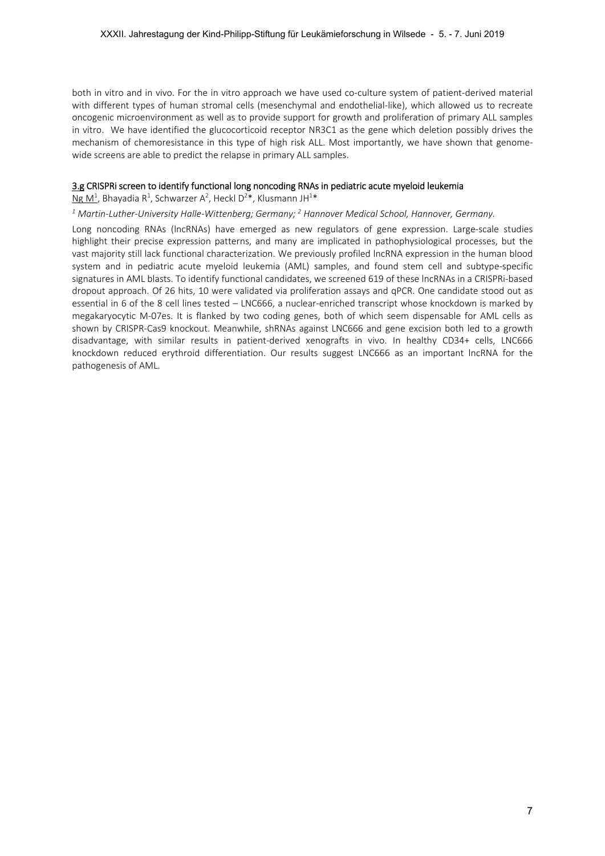both in vitro and in vivo. For the in vitro approach we have used co-culture system of patient-derived material with different types of human stromal cells (mesenchymal and endothelial-like), which allowed us to recreate oncogenic microenvironment as well as to provide support for growth and proliferation of primary ALL samples in vitro. We have identified the glucocorticoid receptor NR3C1 as the gene which deletion possibly drives the mechanism of chemoresistance in this type of high risk ALL. Most importantly, we have shown that genomewide screens are able to predict the relapse in primary ALL samples.

#### 3.g CRISPRi screen to identify functional long noncoding RNAs in pediatric acute myeloid leukemia

Ng M<sup>1</sup>, Bhayadia R<sup>1</sup>, Schwarzer A<sup>2</sup>, Heckl D<sup>2</sup>\*, Klusmann JH<sup>1</sup>\*

<sup>1</sup> Martin‐Luther‐University Halle‐Wittenberg; Germany; <sup>2</sup> Hannover Medical School, Hannover, Germany.

Long noncoding RNAs (lncRNAs) have emerged as new regulators of gene expression. Large-scale studies highlight their precise expression patterns, and many are implicated in pathophysiological processes, but the vast majority still lack functional characterization. We previously profiled lncRNA expression in the human blood system and in pediatric acute myeloid leukemia (AML) samples, and found stem cell and subtype-specific signatures in AML blasts. To identify functional candidates, we screened 619 of these lncRNAs in a CRISPRi‐based dropout approach. Of 26 hits, 10 were validated via proliferation assays and qPCR. One candidate stood out as essential in 6 of the 8 cell lines tested – LNC666, a nuclear‐enriched transcript whose knockdown is marked by megakaryocytic M-07es. It is flanked by two coding genes, both of which seem dispensable for AML cells as shown by CRISPR-Cas9 knockout. Meanwhile, shRNAs against LNC666 and gene excision both led to a growth disadvantage, with similar results in patient‐derived xenografts in vivo. In healthy CD34+ cells, LNC666 knockdown reduced erythroid differentiation. Our results suggest LNC666 as an important lncRNA for the pathogenesis of AML.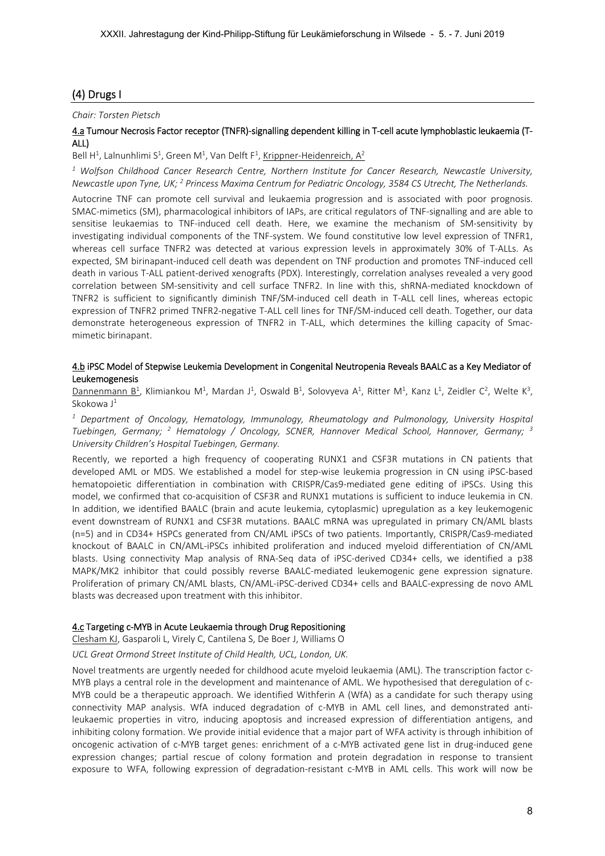# (4) Drugs I

# *Chair: Torsten Pietsch*

# 4.a Tumour Necrosis Factor receptor (TNFR)‐signalling dependent killing in T‐cell acute lymphoblastic leukaemia (T‐ ALL)

Bell H<sup>1</sup>, Lalnunhlimi S<sup>1</sup>, Green M<sup>1</sup>, Van Delft F<sup>1</sup>, Krippner-Heidenreich, A<sup>2</sup>

*1 Wolfson Childhood Cancer Research Centre, Northern Institute for Cancer Research, Newcastle University,*  Newcastle upon Tyne, UK; <sup>2</sup> Princess Maxima Centrum for Pediatric Oncology, 3584 CS Utrecht, The Netherlands.

Autocrine TNF can promote cell survival and leukaemia progression and is associated with poor prognosis. SMAC-mimetics (SM), pharmacological inhibitors of IAPs, are critical regulators of TNF-signalling and are able to sensitise leukaemias to TNF-induced cell death. Here, we examine the mechanism of SM-sensitivity by investigating individual components of the TNF‐system. We found constitutive low level expression of TNFR1, whereas cell surface TNFR2 was detected at various expression levels in approximately 30% of T-ALLs. As expected, SM birinapant‐induced cell death was dependent on TNF production and promotes TNF‐induced cell death in various T‐ALL patient‐derived xenografts (PDX). Interestingly, correlation analyses revealed a very good correlation between SM-sensitivity and cell surface TNFR2. In line with this, shRNA-mediated knockdown of TNFR2 is sufficient to significantly diminish TNF/SM-induced cell death in T-ALL cell lines, whereas ectopic expression of TNFR2 primed TNFR2-negative T-ALL cell lines for TNF/SM-induced cell death. Together, our data demonstrate heterogeneous expression of TNFR2 in T-ALL, which determines the killing capacity of Smacmimetic birinapant.

## 4.b iPSC Model of Stepwise Leukemia Development in Congenital Neutropenia Reveals BAALC as a Key Mediator of Leukemogenesis

Dannenmann B<sup>1</sup>, Klimiankou M<sup>1</sup>, Mardan J<sup>1</sup>, Oswald B<sup>1</sup>, Solovyeva A<sup>1</sup>, Ritter M<sup>1</sup>, Kanz L<sup>1</sup>, Zeidler C<sup>2</sup>, Welte K<sup>3</sup>, Skokowa J<sup>1</sup>

<sup>1</sup> Department of Oncology, Hematology, Immunology, Rheumatology and Pulmonology, University Hospital Tuebingen, Germany; <sup>2</sup> Hematology / Oncology, SCNER, Hannover Medical School, Hannover, Germany; <sup>3</sup> *University Children's Hospital Tuebingen, Germany.* 

Recently, we reported a high frequency of cooperating RUNX1 and CSF3R mutations in CN patients that developed AML or MDS. We established a model for step-wise leukemia progression in CN using iPSC-based hematopoietic differentiation in combination with CRISPR/Cas9-mediated gene editing of iPSCs. Using this model, we confirmed that co-acquisition of CSF3R and RUNX1 mutations is sufficient to induce leukemia in CN. In addition, we identified BAALC (brain and acute leukemia, cytoplasmic) upregulation as a key leukemogenic event downstream of RUNX1 and CSF3R mutations. BAALC mRNA was upregulated in primary CN/AML blasts (n=5) and in CD34+ HSPCs generated from CN/AML iPSCs of two patients. Importantly, CRISPR/Cas9‐mediated knockout of BAALC in CN/AML-iPSCs inhibited proliferation and induced myeloid differentiation of CN/AML blasts. Using connectivity Map analysis of RNA-Seq data of iPSC-derived CD34+ cells, we identified a p38 MAPK/MK2 inhibitor that could possibly reverse BAALC‐mediated leukemogenic gene expression signature. Proliferation of primary CN/AML blasts, CN/AML‐iPSC‐derived CD34+ cells and BAALC‐expressing de novo AML blasts was decreased upon treatment with this inhibitor.

# 4.c Targeting c‐MYB in Acute Leukaemia through Drug Repositioning

# Clesham KJ, Gasparoli L, Virely C, Cantilena S, De Boer J, Williams O

*UCL Great Ormond Street Institute of Child Health, UCL, London, UK.* 

Novel treatments are urgently needed for childhood acute myeloid leukaemia (AML). The transcription factor c‐ MYB plays a central role in the development and maintenance of AML. We hypothesised that deregulation of c‐ MYB could be a therapeutic approach. We identified Withferin A (WfA) as a candidate for such therapy using connectivity MAP analysis. WfA induced degradation of c-MYB in AML cell lines, and demonstrated antileukaemic properties in vitro, inducing apoptosis and increased expression of differentiation antigens, and inhibiting colony formation. We provide initial evidence that a major part of WFA activity is through inhibition of oncogenic activation of c-MYB target genes: enrichment of a c-MYB activated gene list in drug-induced gene expression changes; partial rescue of colony formation and protein degradation in response to transient exposure to WFA, following expression of degradation-resistant c-MYB in AML cells. This work will now be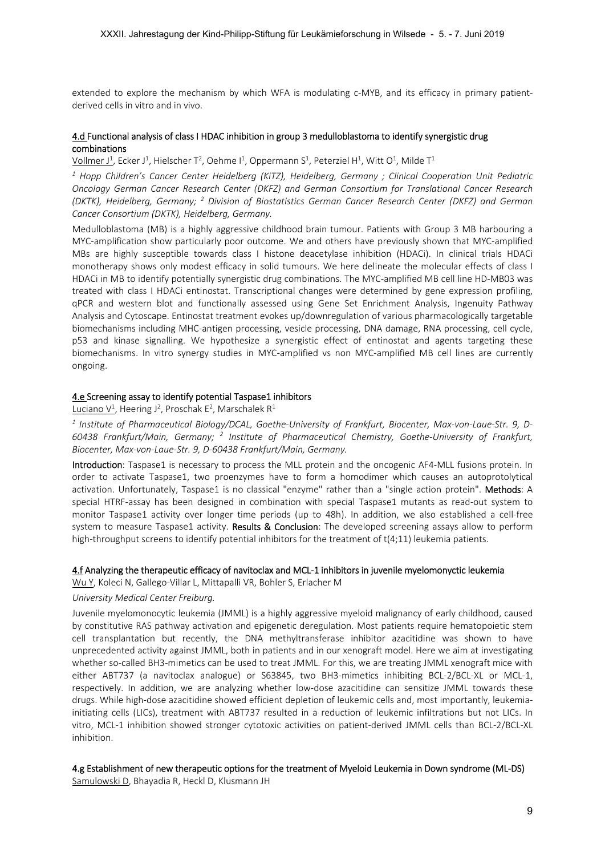extended to explore the mechanism by which WFA is modulating c-MYB, and its efficacy in primary patientderived cells in vitro and in vivo.

#### 4.d Functional analysis of class I HDAC inhibition in group 3 medulloblastoma to identify synergistic drug combinations

Vollmer J<sup>1</sup>, Ecker J<sup>1</sup>, Hielscher T<sup>2</sup>, Oehme I<sup>1</sup>, Oppermann S<sup>1</sup>, Peterziel H<sup>1</sup>, Witt O<sup>1</sup>, Milde T<sup>1</sup>

<sup>1</sup> Hopp Children's Cancer Center Heidelberg (KiTZ), Heidelberg, Germany ; Clinical Cooperation Unit Pediatric *Oncology German Cancer Research Center (DKFZ) and German Consortium for Translational Cancer Research (DKTK), Heidelberg, Germany; <sup>2</sup> Division of Biostatistics German Cancer Research Center (DKFZ) and German Cancer Consortium (DKTK), Heidelberg, Germany.* 

Medulloblastoma (MB) is a highly aggressive childhood brain tumour. Patients with Group 3 MB harbouring a MYC-amplification show particularly poor outcome. We and others have previously shown that MYC-amplified MBs are highly susceptible towards class I histone deacetylase inhibition (HDACi). In clinical trials HDACi monotherapy shows only modest efficacy in solid tumours. We here delineate the molecular effects of class I HDACi in MB to identify potentially synergistic drug combinations. The MYC-amplified MB cell line HD-MB03 was treated with class I HDACi entinostat. Transcriptional changes were determined by gene expression profiling, qPCR and western blot and functionally assessed using Gene Set Enrichment Analysis, Ingenuity Pathway Analysis and Cytoscape. Entinostat treatment evokes up/downregulation of various pharmacologically targetable biomechanisms including MHC‐antigen processing, vesicle processing, DNA damage, RNA processing, cell cycle, p53 and kinase signalling. We hypothesize a synergistic effect of entinostat and agents targeting these biomechanisms. In vitro synergy studies in MYC-amplified vs non MYC-amplified MB cell lines are currently ongoing.

### 4.e Screening assay to identify potential Taspase1 inhibitors

Luciano V<sup>1</sup>, Heering J<sup>2</sup>, Proschak E<sup>2</sup>, Marschalek R<sup>1</sup>

*1 Institute of Pharmaceutical Biology/DCAL, Goethe‐University of Frankfurt, Biocenter, Max‐von‐Laue‐Str. 9, D‐ 60438 Frankfurt/Main, Germany; <sup>2</sup> Institute of Pharmaceutical Chemistry, Goethe‐University of Frankfurt, Biocenter, Max‐von‐Laue‐Str. 9, D‐60438 Frankfurt/Main, Germany.* 

Introduction: Taspase1 is necessary to process the MLL protein and the oncogenic AF4-MLL fusions protein. In order to activate Taspase1, two proenzymes have to form a homodimer which causes an autoprotolytical activation. Unfortunately, Taspase1 is no classical "enzyme" rather than a "single action protein". Methods: A special HTRF-assay has been designed in combination with special Taspase1 mutants as read-out system to monitor Taspase1 activity over longer time periods (up to 48h). In addition, we also established a cell‐free system to measure Taspase1 activity. Results & Conclusion: The developed screening assays allow to perform high-throughput screens to identify potential inhibitors for the treatment of t(4;11) leukemia patients.

#### 4.f Analyzing the therapeutic efficacy of navitoclax and MCL‐1 inhibitors in juvenile myelomonyctic leukemia

Wu Y, Koleci N, Gallego‐Villar L, Mittapalli VR, Bohler S, Erlacher M

#### *University Medical Center Freiburg.*

Juvenile myelomonocytic leukemia (JMML) is a highly aggressive myeloid malignancy of early childhood, caused by constitutive RAS pathway activation and epigenetic deregulation. Most patients require hematopoietic stem cell transplantation but recently, the DNA methyltransferase inhibitor azacitidine was shown to have unprecedented activity against JMML, both in patients and in our xenograft model. Here we aim at investigating whether so-called BH3-mimetics can be used to treat JMML. For this, we are treating JMML xenograft mice with either ABT737 (a navitoclax analogue) or S63845, two BH3-mimetics inhibiting BCL-2/BCL-XL or MCL-1, respectively. In addition, we are analyzing whether low-dose azacitidine can sensitize JMML towards these drugs. While high-dose azacitidine showed efficient depletion of leukemic cells and, most importantly, leukemiainitiating cells (LICs), treatment with ABT737 resulted in a reduction of leukemic infiltrations but not LICs. In vitro, MCL-1 inhibition showed stronger cytotoxic activities on patient-derived JMML cells than BCL-2/BCL-XL inhibition.

# 4.g Establishment of new therapeutic options for the treatment of Myeloid Leukemia in Down syndrome (ML‐DS)

Samulowski D, Bhayadia R, Heckl D, Klusmann JH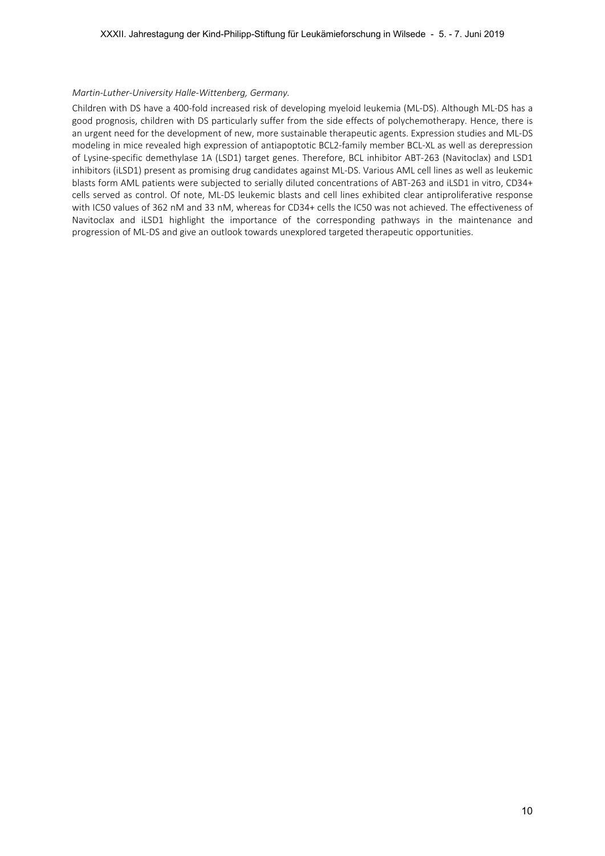## *Martin‐Luther‐University Halle‐Wittenberg, Germany.*

Children with DS have a 400‐fold increased risk of developing myeloid leukemia (ML‐DS). Although ML‐DS has a good prognosis, children with DS particularly suffer from the side effects of polychemotherapy. Hence, there is an urgent need for the development of new, more sustainable therapeutic agents. Expression studies and ML‐DS modeling in mice revealed high expression of antiapoptotic BCL2‐family member BCL‐XL as well as derepression of Lysine‐specific demethylase 1A (LSD1) target genes. Therefore, BCL inhibitor ABT‐263 (Navitoclax) and LSD1 inhibitors (iLSD1) present as promising drug candidates against ML‐DS. Various AML cell lines as well as leukemic blasts form AML patients were subjected to serially diluted concentrations of ABT-263 and iLSD1 in vitro, CD34+ cells served as control. Of note, ML‐DS leukemic blasts and cell lines exhibited clear antiproliferative response with IC50 values of 362 nM and 33 nM, whereas for CD34+ cells the IC50 was not achieved. The effectiveness of Navitoclax and iLSD1 highlight the importance of the corresponding pathways in the maintenance and progression of ML‐DS and give an outlook towards unexplored targeted therapeutic opportunities.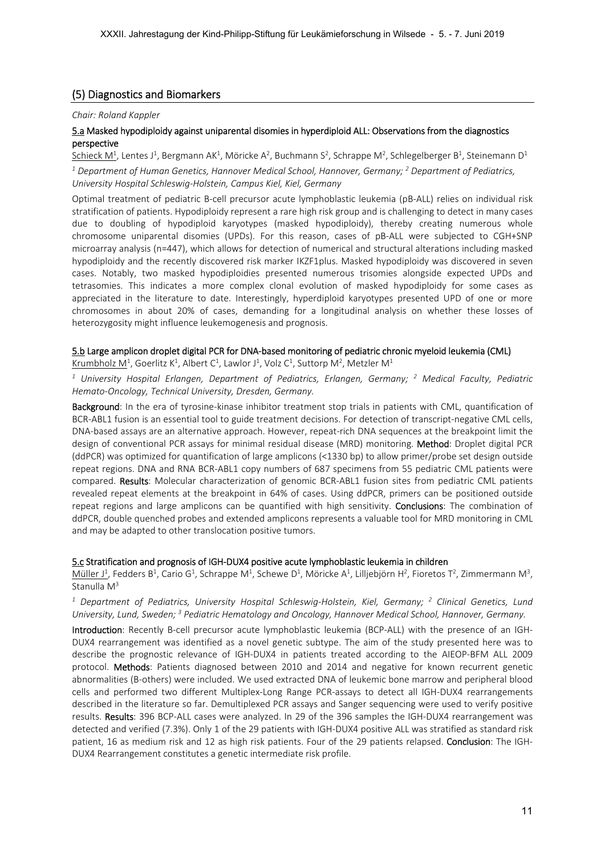# (5) Diagnostics and Biomarkers

## *Chair: Roland Kappler*

# 5.a Masked hypodiploidy against uniparental disomies in hyperdiploid ALL: Observations from the diagnostics perspective

Schieck M<sup>1</sup>, Lentes J<sup>1</sup>, Bergmann AK<sup>1</sup>, Möricke A<sup>2</sup>, Buchmann S<sup>2</sup>, Schrappe M<sup>2</sup>, Schlegelberger B<sup>1</sup>, Steinemann D<sup>1</sup>

*1 Department of Human Genetics, Hannover Medical School, Hannover, Germany; 2 Department of Pediatrics, University Hospital Schleswig‐Holstein, Campus Kiel, Kiel, Germany* 

Optimal treatment of pediatric B‐cell precursor acute lymphoblastic leukemia (pB‐ALL) relies on individual risk stratification of patients. Hypodiploidy represent a rare high risk group and is challenging to detect in many cases due to doubling of hypodiploid karyotypes (masked hypodiploidy), thereby creating numerous whole chromosome uniparental disomies (UPDs). For this reason, cases of pB‐ALL were subjected to CGH+SNP microarray analysis (n=447), which allows for detection of numerical and structural alterations including masked hypodiploidy and the recently discovered risk marker IKZF1plus. Masked hypodiploidy was discovered in seven cases. Notably, two masked hypodiploidies presented numerous trisomies alongside expected UPDs and tetrasomies. This indicates a more complex clonal evolution of masked hypodiploidy for some cases as appreciated in the literature to date. Interestingly, hyperdiploid karyotypes presented UPD of one or more chromosomes in about 20% of cases, demanding for a longitudinal analysis on whether these losses of heterozygosity might influence leukemogenesis and prognosis.

# 5.b Large amplicon droplet digital PCR for DNA‐based monitoring of pediatric chronic myeloid leukemia (CML)

Krumbholz M<sup>1</sup>, Goerlitz K<sup>1</sup>, Albert C<sup>1</sup>, Lawlor J<sup>1</sup>, Volz C<sup>1</sup>, Suttorp M<sup>2</sup>, Metzler M<sup>1</sup>

<sup>1</sup> University Hospital Erlangen, Department of Pediatrics, Erlangen, Germany; <sup>2</sup> Medical Faculty, Pediatric *Hemato‐Oncology, Technical University, Dresden, Germany.* 

Background: In the era of tyrosine-kinase inhibitor treatment stop trials in patients with CML, quantification of BCR-ABL1 fusion is an essential tool to guide treatment decisions. For detection of transcript-negative CML cells, DNA-based assays are an alternative approach. However, repeat-rich DNA sequences at the breakpoint limit the design of conventional PCR assays for minimal residual disease (MRD) monitoring. Method: Droplet digital PCR (ddPCR) was optimized for quantification of large amplicons (<1330 bp) to allow primer/probe set design outside repeat regions. DNA and RNA BCR‐ABL1 copy numbers of 687 specimens from 55 pediatric CML patients were compared. Results: Molecular characterization of genomic BCR-ABL1 fusion sites from pediatric CML patients revealed repeat elements at the breakpoint in 64% of cases. Using ddPCR, primers can be positioned outside repeat regions and large amplicons can be quantified with high sensitivity. Conclusions: The combination of ddPCR, double quenched probes and extended amplicons represents a valuable tool for MRD monitoring in CML and may be adapted to other translocation positive tumors.

# 5.c Stratification and prognosis of IGH‐DUX4 positive acute lymphoblastic leukemia in children

Müller J<sup>1</sup>, Fedders B<sup>1</sup>, Cario G<sup>1</sup>, Schrappe M<sup>1</sup>, Schewe D<sup>1</sup>, Möricke A<sup>1</sup>, Lilljebjörn H<sup>2</sup>, Fioretos T<sup>2</sup>, Zimmermann M<sup>3</sup>, Stanulla M<sup>3</sup>

<sup>1</sup> Department of Pediatrics, University Hospital Schleswig-Holstein, Kiel, Germany; <sup>2</sup> Clinical Genetics, Lund University, Lund, Sweden;<sup>3</sup> Pediatric Hematology and Oncology, Hannover Medical School, Hannover, Germany.

Introduction: Recently B-cell precursor acute lymphoblastic leukemia (BCP-ALL) with the presence of an IGH-DUX4 rearrangement was identified as a novel genetic subtype. The aim of the study presented here was to describe the prognostic relevance of IGH-DUX4 in patients treated according to the AIEOP-BFM ALL 2009 protocol. Methods: Patients diagnosed between 2010 and 2014 and negative for known recurrent genetic abnormalities (B‐others) were included. We used extracted DNA of leukemic bone marrow and peripheral blood cells and performed two different Multiplex-Long Range PCR-assays to detect all IGH-DUX4 rearrangements described in the literature so far. Demultiplexed PCR assays and Sanger sequencing were used to verify positive results. Results: 396 BCP-ALL cases were analyzed. In 29 of the 396 samples the IGH-DUX4 rearrangement was detected and verified (7.3%). Only 1 of the 29 patients with IGH‐DUX4 positive ALL was stratified as standard risk patient, 16 as medium risk and 12 as high risk patients. Four of the 29 patients relapsed. Conclusion: The IGH-DUX4 Rearrangement constitutes a genetic intermediate risk profile.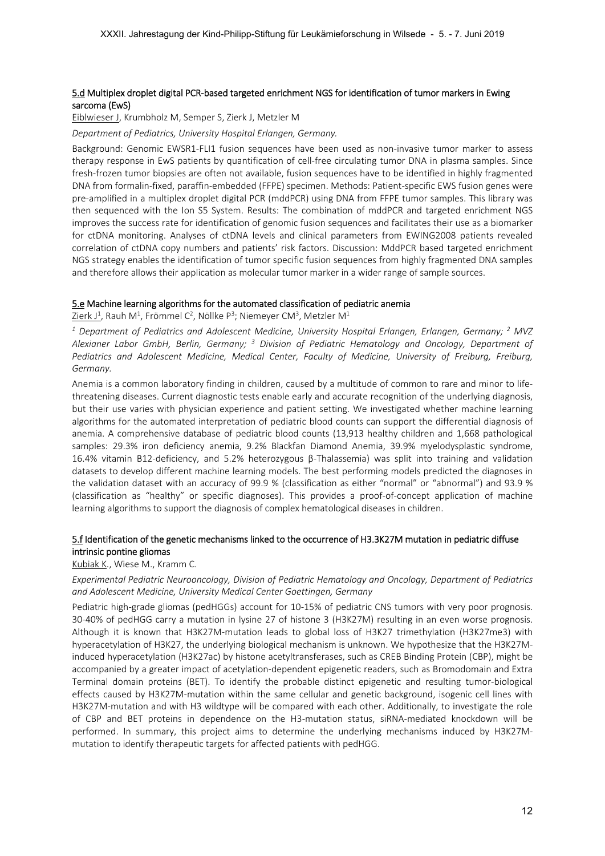# 5.dMultiplex droplet digital PCR‐based targeted enrichment NGS for identification of tumor markers in Ewing sarcoma (EwS)

Eiblwieser J, Krumbholz M, Semper S, Zierk J, Metzler M

*Department of Pediatrics, University Hospital Erlangen, Germany.* 

Background: Genomic EWSR1‐FLI1 fusion sequences have been used as non‐invasive tumor marker to assess therapy response in EwS patients by quantification of cell‐free circulating tumor DNA in plasma samples. Since fresh-frozen tumor biopsies are often not available, fusion sequences have to be identified in highly fragmented DNA from formalin‐fixed, paraffin‐embedded (FFPE) specimen. Methods: Patient‐specific EWS fusion genes were pre-amplified in a multiplex droplet digital PCR (mddPCR) using DNA from FFPE tumor samples. This library was then sequenced with the Ion S5 System. Results: The combination of mddPCR and targeted enrichment NGS improves the success rate for identification of genomic fusion sequences and facilitates their use as a biomarker for ctDNA monitoring. Analyses of ctDNA levels and clinical parameters from EWING2008 patients revealed correlation of ctDNA copy numbers and patients' risk factors. Discussion: MddPCR based targeted enrichment NGS strategy enables the identification of tumor specific fusion sequences from highly fragmented DNA samples and therefore allows their application as molecular tumor marker in a wider range of sample sources.

## 5.e Machine learning algorithms for the automated classification of pediatric anemia

 $\operatorname{\mathsf{Zierk}}$  J $^1$ , Rauh M $^1$ , Frömmel C $^2$ , Nöllke P $^3$ ; Niemeyer CM $^3$ , Metzler M $^1$ 

<sup>1</sup> Department of Pediatrics and Adolescent Medicine, University Hospital Erlangen, Erlangen, Germany; <sup>2</sup> MVZ Alexianer Labor GmbH, Berlin, Germany; <sup>3</sup> Division of Pediatric Hematology and Oncology, Department of *Pediatrics and Adolescent Medicine, Medical Center, Faculty of Medicine, University of Freiburg, Freiburg, Germany.* 

Anemia is a common laboratory finding in children, caused by a multitude of common to rare and minor to life‐ threatening diseases. Current diagnostic tests enable early and accurate recognition of the underlying diagnosis, but their use varies with physician experience and patient setting. We investigated whether machine learning algorithms for the automated interpretation of pediatric blood counts can support the differential diagnosis of anemia. A comprehensive database of pediatric blood counts (13,913 healthy children and 1,668 pathological samples: 29.3% iron deficiency anemia, 9.2% Blackfan Diamond Anemia, 39.9% myelodysplastic syndrome, 16.4% vitamin B12‐deficiency, and 5.2% heterozygous β‐Thalassemia) was split into training and validation datasets to develop different machine learning models. The best performing models predicted the diagnoses in the validation dataset with an accuracy of 99.9 % (classification as either "normal" or "abnormal") and 93.9 % (classification as "healthy" or specific diagnoses). This provides a proof‐of‐concept application of machine learning algorithms to support the diagnosis of complex hematological diseases in children.

# 5.f Identification of the genetic mechanisms linked to the occurrence of H3.3K27M mutation in pediatric diffuse intrinsic pontine gliomas

#### Kubiak K., Wiese M., Kramm C.

*Experimental Pediatric Neurooncology, Division of Pediatric Hematology and Oncology, Department of Pediatrics and Adolescent Medicine, University Medical Center Goettingen, Germany* 

Pediatric high‐grade gliomas (pedHGGs) account for 10‐15% of pediatric CNS tumors with very poor prognosis. 30‐40% of pedHGG carry a mutation in lysine 27 of histone 3 (H3K27M) resulting in an even worse prognosis. Although it is known that H3K27M‐mutation leads to global loss of H3K27 trimethylation (H3K27me3) with hyperacetylation of H3K27, the underlying biological mechanism is unknown. We hypothesize that the H3K27M‐ induced hyperacetylation (H3K27ac) by histone acetyltransferases, such as CREB Binding Protein (CBP), might be accompanied by a greater impact of acetylation‐dependent epigenetic readers, such as Bromodomain and Extra Terminal domain proteins (BET). To identify the probable distinct epigenetic and resulting tumor‐biological effects caused by H3K27M‐mutation within the same cellular and genetic background, isogenic cell lines with H3K27M-mutation and with H3 wildtype will be compared with each other. Additionally, to investigate the role of CBP and BET proteins in dependence on the H3-mutation status, siRNA-mediated knockdown will be performed. In summary, this project aims to determine the underlying mechanisms induced by H3K27M‐ mutation to identify therapeutic targets for affected patients with pedHGG.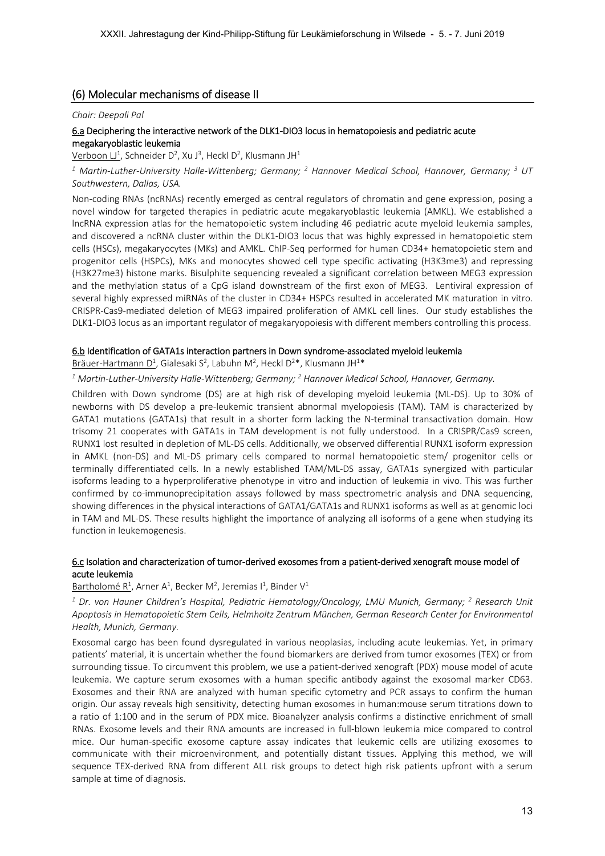# (6) Molecular mechanisms of disease II

#### *Chair: Deepali Pal*

# 6.a Deciphering the interactive network of the DLK1‐DIO3 locus in hematopoiesis and pediatric acute megakaryoblastic leukemia

Verboon LJ<sup>1</sup>, Schneider D<sup>2</sup>, Xu J<sup>3</sup>, Heckl D<sup>2</sup>, Klusmann JH<sup>1</sup>

<sup>1</sup> Martin-Luther-University Halle-Wittenberg; Germany; <sup>2</sup> Hannover Medical School, Hannover, Germany; <sup>3</sup> UT *Southwestern, Dallas, USA.* 

Non‐coding RNAs (ncRNAs) recently emerged as central regulators of chromatin and gene expression, posing a novel window for targeted therapies in pediatric acute megakaryoblastic leukemia (AMKL). We established a lncRNA expression atlas for the hematopoietic system including 46 pediatric acute myeloid leukemia samples, and discovered a ncRNA cluster within the DLK1-DIO3 locus that was highly expressed in hematopoietic stem cells (HSCs), megakaryocytes (MKs) and AMKL. ChIP‐Seq performed for human CD34+ hematopoietic stem and progenitor cells (HSPCs), MKs and monocytes showed cell type specific activating (H3K3me3) and repressing (H3K27me3) histone marks. Bisulphite sequencing revealed a significant correlation between MEG3 expression and the methylation status of a CpG island downstream of the first exon of MEG3. Lentiviral expression of several highly expressed miRNAs of the cluster in CD34+ HSPCs resulted in accelerated MK maturation in vitro. CRISPR‐Cas9‐mediated deletion of MEG3 impaired proliferation of AMKL cell lines. Our study establishes the DLK1‐DIO3 locus as an important regulator of megakaryopoiesis with different members controlling this process.

## 6.b Identification of GATA1s interaction partners in Down syndrome‐associated myeloid leukemia

Bräuer-Hartmann D<sup>1</sup>, Gialesaki S<sup>2</sup>, Labuhn M<sup>2</sup>, Heckl D<sup>2\*</sup>, Klusmann JH<sup>1\*</sup>

<sup>1</sup> Martin-Luther-University Halle-Wittenberg; Germany; <sup>2</sup> Hannover Medical School, Hannover, Germany.

Children with Down syndrome (DS) are at high risk of developing myeloid leukemia (ML‐DS). Up to 30% of newborns with DS develop a pre-leukemic transient abnormal myelopoiesis (TAM). TAM is characterized by GATA1 mutations (GATA1s) that result in a shorter form lacking the N-terminal transactivation domain. How trisomy 21 cooperates with GATA1s in TAM development is not fully understood. In a CRISPR/Cas9 screen, RUNX1 lost resulted in depletion of ML‐DS cells. Additionally, we observed differential RUNX1 isoform expression in AMKL (non-DS) and ML-DS primary cells compared to normal hematopoietic stem/ progenitor cells or terminally differentiated cells. In a newly established TAM/ML-DS assay, GATA1s synergized with particular isoforms leading to a hyperproliferative phenotype in vitro and induction of leukemia in vivo. This was further confirmed by co-immunoprecipitation assays followed by mass spectrometric analysis and DNA sequencing, showing differences in the physical interactions of GATA1/GATA1s and RUNX1 isoforms as well as at genomic loci in TAM and ML‐DS. These results highlight the importance of analyzing all isoforms of a gene when studying its function in leukemogenesis.

# 6.c Isolation and characterization of tumor‐derived exosomes from a patient‐derived xenograft mouse model of acute leukemia

Bartholomé  $R^1$ , Arner A<sup>1</sup>, Becker M<sup>2</sup>, Jeremias I<sup>1</sup>, Binder V<sup>1</sup>

<sup>1</sup> Dr. von Hauner Children's Hospital, Pediatric Hematology/Oncology, LMU Munich, Germany; <sup>2</sup> Research Unit *Apoptosis in Hematopoietic Stem Cells, Helmholtz Zentrum München, German Research Center for Environmental Health, Munich, Germany.* 

Exosomal cargo has been found dysregulated in various neoplasias, including acute leukemias. Yet, in primary patients' material, it is uncertain whether the found biomarkers are derived from tumor exosomes (TEX) or from surrounding tissue. To circumvent this problem, we use a patient-derived xenograft (PDX) mouse model of acute leukemia. We capture serum exosomes with a human specific antibody against the exosomal marker CD63. Exosomes and their RNA are analyzed with human specific cytometry and PCR assays to confirm the human origin. Our assay reveals high sensitivity, detecting human exosomes in human:mouse serum titrations down to a ratio of 1:100 and in the serum of PDX mice. Bioanalyzer analysis confirms a distinctive enrichment of small RNAs. Exosome levels and their RNA amounts are increased in full‐blown leukemia mice compared to control mice. Our human‐specific exosome capture assay indicates that leukemic cells are utilizing exosomes to communicate with their microenvironment, and potentially distant tissues. Applying this method, we will sequence TEX-derived RNA from different ALL risk groups to detect high risk patients upfront with a serum sample at time of diagnosis.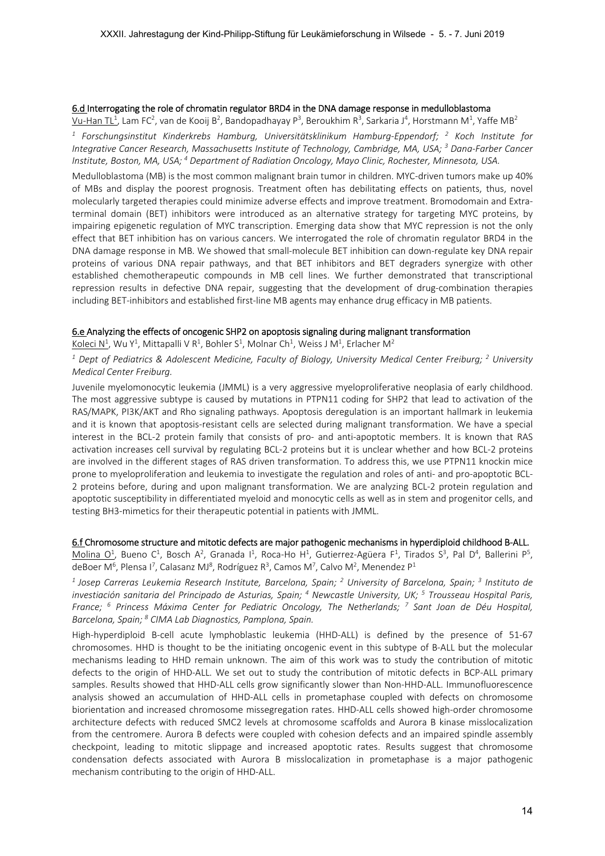## 6.d Interrogating the role of chromatin regulator BRD4 in the DNA damage response in medulloblastoma

Vu-Han TL<sup>1</sup>, Lam FC<sup>2</sup>, van de Kooij B<sup>2</sup>, Bandopadhayay P<sup>3</sup>, Beroukhim R<sup>3</sup>, Sarkaria J<sup>4</sup>, Horstmann M<sup>1</sup>, Yaffe MB<sup>2</sup> <sup>1</sup> Forschungsinstitut Kinderkrebs Hamburg, Universitätsklinikum Hamburg-Eppendorf; <sup>2</sup> Koch Institute for *Integrative Cancer Research, Massachusetts Institute of Technology, Cambridge, MA, USA; 3 Dana‐Farber Cancer*  Institute, Boston, MA, USA; <sup>4</sup> Department of Radiation Oncology, Mayo Clinic, Rochester, Minnesota, USA.

Medulloblastoma (MB) is the most common malignant brain tumor in children. MYC‐driven tumors make up 40% of MBs and display the poorest prognosis. Treatment often has debilitating effects on patients, thus, novel molecularly targeted therapies could minimize adverse effects and improve treatment. Bromodomain and Extraterminal domain (BET) inhibitors were introduced as an alternative strategy for targeting MYC proteins, by impairing epigenetic regulation of MYC transcription. Emerging data show that MYC repression is not the only effect that BET inhibition has on various cancers. We interrogated the role of chromatin regulator BRD4 in the DNA damage response in MB. We showed that small-molecule BET inhibition can down-regulate key DNA repair proteins of various DNA repair pathways, and that BET inhibitors and BET degraders synergize with other established chemotherapeutic compounds in MB cell lines. We further demonstrated that transcriptional repression results in defective DNA repair, suggesting that the development of drug-combination therapies including BET‐inhibitors and established first‐line MB agents may enhance drug efficacy in MB patients.

# 6.e Analyzing the effects of oncogenic SHP2 on apoptosis signaling during malignant transformation

Koleci N<sup>1</sup>, Wu Y<sup>1</sup>, Mittapalli V R<sup>1</sup>, Bohler S<sup>1</sup>, Molnar Ch<sup>1</sup>, Weiss J M<sup>1</sup>, Erlacher M<sup>2</sup>

<sup>1</sup> Dept of Pediatrics & Adolescent Medicine, Faculty of Biology, University Medical Center Freiburg; <sup>2</sup> University *Medical Center Freiburg.* 

Juvenile myelomonocytic leukemia (JMML) is a very aggressive myeloproliferative neoplasia of early childhood. The most aggressive subtype is caused by mutations in PTPN11 coding for SHP2 that lead to activation of the RAS/MAPK, PI3K/AKT and Rho signaling pathways. Apoptosis deregulation is an important hallmark in leukemia and it is known that apoptosis‐resistant cells are selected during malignant transformation. We have a special interest in the BCL-2 protein family that consists of pro- and anti-apoptotic members. It is known that RAS activation increases cell survival by regulating BCL‐2 proteins but it is unclear whether and how BCL‐2 proteins are involved in the different stages of RAS driven transformation. To address this, we use PTPN11 knockin mice prone to myeloproliferation and leukemia to investigate the regulation and roles of anti- and pro-apoptotic BCL-2 proteins before, during and upon malignant transformation. We are analyzing BCL‐2 protein regulation and apoptotic susceptibility in differentiated myeloid and monocytic cells as well as in stem and progenitor cells, and testing BH3‐mimetics for their therapeutic potential in patients with JMML.

# 6.f Chromosome structure and mitotic defects are major pathogenic mechanisms in hyperdiploid childhood B‐ALL.

Molina O<sup>1</sup>, Bueno C<sup>1</sup>, Bosch A<sup>2</sup>, Granada I<sup>1</sup>, Roca-Ho H<sup>1</sup>, Gutierrez-Agüera F<sup>1</sup>, Tirados S<sup>3</sup>, Pal D<sup>4</sup>, Ballerini P<sup>5</sup>, deBoer M<sup>6</sup>, Plensa I<sup>7</sup>, Calasanz MJ<sup>8</sup>, Rodríguez R<sup>3</sup>, Camos M<sup>7</sup>, Calvo M<sup>2</sup>, Menendez P<sup>1</sup>

*1 Josep Carreras Leukemia Research Institute, Barcelona, Spain; <sup>2</sup> University of Barcelona, Spain; <sup>3</sup> Instituto de*  investiación sanitaria del Principado de Asturias, Spain; <sup>4</sup> Newcastle University, UK; <sup>5</sup> Trousseau Hospital Paris, *France; <sup>6</sup> Princess Máxima Center for Pediatric Oncology, The Netherlands; <sup>7</sup> Sant Joan de Déu Hospital, Barcelona, Spain; 8 CIMA Lab Diagnostics, Pamplona, Spain.* 

High‐hyperdiploid B‐cell acute lymphoblastic leukemia (HHD‐ALL) is defined by the presence of 51‐67 chromosomes. HHD is thought to be the initiating oncogenic event in this subtype of B‐ALL but the molecular mechanisms leading to HHD remain unknown. The aim of this work was to study the contribution of mitotic defects to the origin of HHD-ALL. We set out to study the contribution of mitotic defects in BCP-ALL primary samples. Results showed that HHD-ALL cells grow significantly slower than Non-HHD-ALL. Immunofluorescence analysis showed an accumulation of HHD-ALL cells in prometaphase coupled with defects on chromosome biorientation and increased chromosome missegregation rates. HHD‐ALL cells showed high‐order chromosome architecture defects with reduced SMC2 levels at chromosome scaffolds and Aurora B kinase misslocalization from the centromere. Aurora B defects were coupled with cohesion defects and an impaired spindle assembly checkpoint, leading to mitotic slippage and increased apoptotic rates. Results suggest that chromosome condensation defects associated with Aurora B misslocalization in prometaphase is a major pathogenic mechanism contributing to the origin of HHD‐ALL.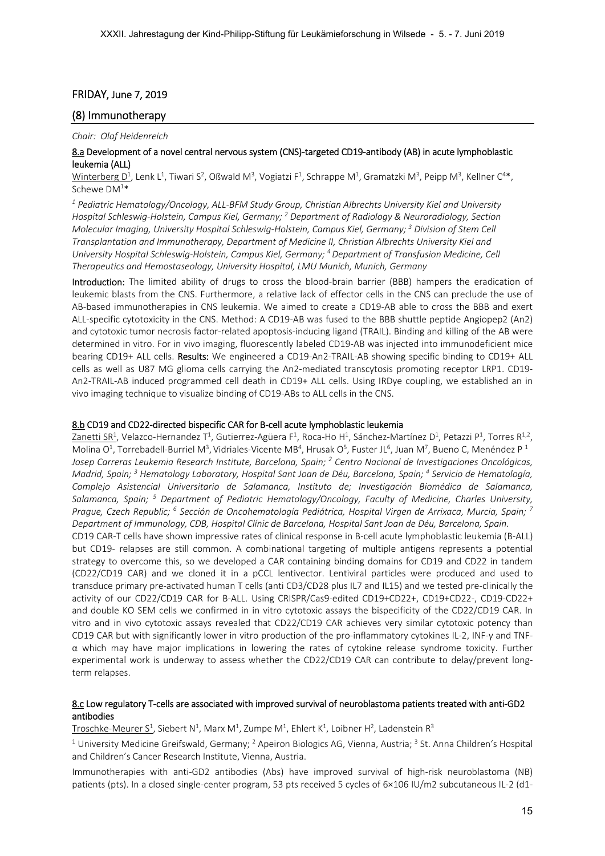# FRIDAY, June 7, 2019

# (8) Immunotherapy

#### *Chair: Olaf Heidenreich*

# 8.a Development of a novel central nervous system (CNS)-targeted CD19-antibody (AB) in acute lymphoblastic leukemia (ALL)

Winterberg  $D^1$ , Lenk L<sup>1</sup>, Tiwari S<sup>2</sup>, Oßwald M<sup>3</sup>, Vogiatzi F<sup>1</sup>, Schrappe M<sup>1</sup>, Gramatzki M<sup>3</sup>, Peipp M<sup>3</sup>, Kellner C<sup>4\*</sup>, Schewe  $DM^{1*}$ 

*1 Pediatric Hematology/Oncology, ALL‐BFM Study Group, Christian Albrechts University Kiel and University Hospital Schleswig‐Holstein, Campus Kiel, Germany; 2 Department of Radiology & Neuroradiology, Section Molecular Imaging, University Hospital Schleswig‐Holstein, Campus Kiel, Germany; 3 Division of Stem Cell Transplantation and Immunotherapy, Department of Medicine II, Christian Albrechts University Kiel and University Hospital Schleswig‐Holstein, Campus Kiel, Germany; 4 Department of Transfusion Medicine, Cell Therapeutics and Hemostaseology, University Hospital, LMU Munich, Munich, Germany* 

Introduction: The limited ability of drugs to cross the blood-brain barrier (BBB) hampers the eradication of leukemic blasts from the CNS. Furthermore, a relative lack of effector cells in the CNS can preclude the use of AB‐based immunotherapies in CNS leukemia. We aimed to create a CD19‐AB able to cross the BBB and exert ALL‐specific cytotoxicity in the CNS. Method: A CD19‐AB was fused to the BBB shuttle peptide Angiopep2 (An2) and cytotoxic tumor necrosis factor-related apoptosis-inducing ligand (TRAIL). Binding and killing of the AB were determined in vitro. For in vivo imaging, fluorescently labeled CD19‐AB was injected into immunodeficient mice bearing CD19+ ALL cells. Results: We engineered a CD19-An2-TRAIL-AB showing specific binding to CD19+ ALL cells as well as U87 MG glioma cells carrying the An2-mediated transcytosis promoting receptor LRP1. CD19-An2‐TRAIL‐AB induced programmed cell death in CD19+ ALL cells. Using IRDye coupling, we established an in vivo imaging technique to visualize binding of CD19‐ABs to ALL cells in the CNS.

## 8.b CD19 and CD22‐directed bispecific CAR for B‐cell acute lymphoblastic leukemia

Zanetti SR<sup>1</sup>, Velazco-Hernandez T<sup>1</sup>, Gutierrez-Agüera F<sup>1</sup>, Roca-Ho H<sup>1</sup>, Sánchez-Martínez D<sup>1</sup>, Petazzi P<sup>1</sup>, Torres R<sup>1,2</sup>, Molina O<sup>1</sup>, Torrebadell-Burriel M<sup>3</sup>, Vidriales-Vicente MB<sup>4</sup>, Hrusak O<sup>5</sup>, Fuster JL<sup>6</sup>, Juan M<sup>7</sup>, Bueno C, Menéndez P<sup>1</sup> *Josep Carreras Leukemia Research Institute, Barcelona, Spain; 2 Centro Nacional de Investigaciones Oncológicas,*  Madrid, Spain; <sup>3</sup> Hematology Laboratory, Hospital Sant Joan de Déu, Barcelona, Spain; <sup>4</sup> Servicio de Hematología, *Complejo Asistencial Universitario de Salamanca, Instituto de; Investigación Biomédica de Salamanca,*  Salamanca, Spain; <sup>5</sup> Department of Pediatric Hematology/Oncology, Faculty of Medicine, Charles University, *Prague, Czech Republic; 6 Sección de Oncohematología Pediátrica, Hospital Virgen de Arrixaca, Murcia, Spain; <sup>7</sup> Department of Immunology, CDB, Hospital Clínic de Barcelona, Hospital Sant Joan de Déu, Barcelona, Spain.* 

CD19 CAR‐T cells have shown impressive rates of clinical response in B‐cell acute lymphoblastic leukemia (B‐ALL) but CD19- relapses are still common. A combinational targeting of multiple antigens represents a potential strategy to overcome this, so we developed a CAR containing binding domains for CD19 and CD22 in tandem (CD22/CD19 CAR) and we cloned it in a pCCL lentivector. Lentiviral particles were produced and used to transduce primary pre‐activated human T cells (anti CD3/CD28 plus IL7 and IL15) and we tested pre‐clinically the activity of our CD22/CD19 CAR for B‐ALL. Using CRISPR/Cas9‐edited CD19+CD22+, CD19+CD22‐, CD19‐CD22+ and double KO SEM cells we confirmed in in vitro cytotoxic assays the bispecificity of the CD22/CD19 CAR. In vitro and in vivo cytotoxic assays revealed that CD22/CD19 CAR achieves very similar cytotoxic potency than CD19 CAR but with significantly lower in vitro production of the pro‐inflammatory cytokines IL‐2, INF‐γ and TNF‐  $\alpha$  which may have major implications in lowering the rates of cytokine release syndrome toxicity. Further experimental work is underway to assess whether the CD22/CD19 CAR can contribute to delay/prevent longterm relapses.

# 8.c Low regulatory T-cells are associated with improved survival of neuroblastoma patients treated with anti-GD2 antibodies

Troschke-Meurer S<sup>1</sup>, Siebert N<sup>1</sup>, Marx M<sup>1</sup>, Zumpe M<sup>1</sup>, Ehlert K<sup>1</sup>, Loibner H<sup>2</sup>, Ladenstein R<sup>3</sup>

<sup>1</sup> University Medicine Greifswald, Germany; <sup>2</sup> Apeiron Biologics AG, Vienna, Austria; <sup>3</sup> St. Anna Children's Hospital and Children's Cancer Research Institute, Vienna, Austria.

Immunotherapies with anti-GD2 antibodies (Abs) have improved survival of high-risk neuroblastoma (NB) patients (pts). In a closed single-center program, 53 pts received 5 cycles of 6×106 IU/m2 subcutaneous IL-2 (d1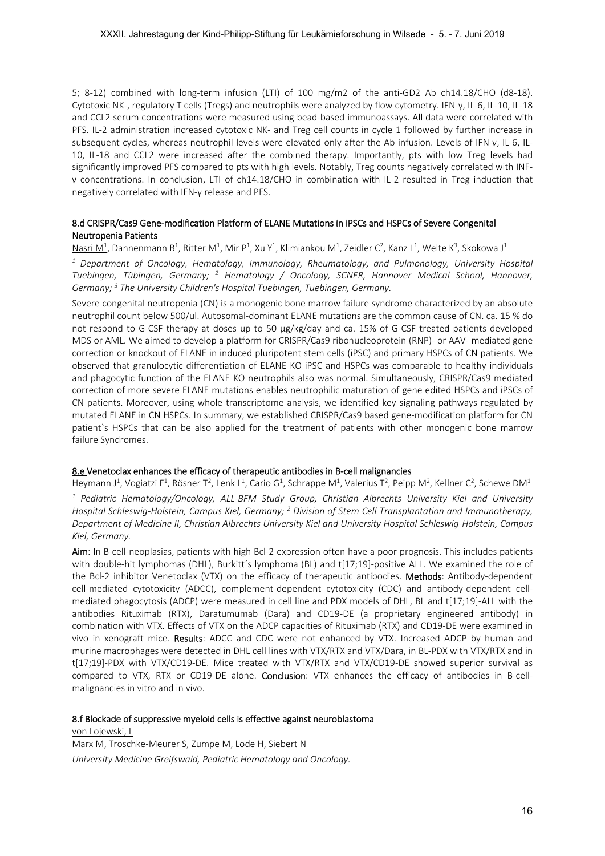5; 8-12) combined with long-term infusion (LTI) of 100 mg/m2 of the anti-GD2 Ab ch14.18/CHO (d8-18). Cytotoxic NK‐, regulatory T cells (Tregs) and neutrophils were analyzed by flow cytometry. IFN‐γ, IL‐6, IL‐10, IL‐18 and CCL2 serum concentrations were measured using bead-based immunoassays. All data were correlated with PFS. IL‐2 administration increased cytotoxic NK‐ and Treg cell counts in cycle 1 followed by further increase in subsequent cycles, whereas neutrophil levels were elevated only after the Ab infusion. Levels of IFN‐γ, IL‐6, IL‐ 10, IL‐18 and CCL2 were increased after the combined therapy. Importantly, pts with low Treg levels had significantly improved PFS compared to pts with high levels. Notably, Treg counts negatively correlated with INF‐ γ concentrations. In conclusion, LTI of ch14.18/CHO in combination with IL‐2 resulted in Treg induction that negatively correlated with IFN‐γ release and PFS.

# 8.d CRISPR/Cas9 Gene‐modification Platform of ELANE Mutations in iPSCs and HSPCs of Severe Congenital Neutropenia Patients

Nasri M<sup>1</sup>, Dannenmann B<sup>1</sup>, Ritter M<sup>1</sup>, Mir P<sup>1</sup>, Xu Y<sup>1</sup>, Klimiankou M<sup>1</sup>, Zeidler C<sup>2</sup>, Kanz L<sup>1</sup>, Welte K<sup>3</sup>, Skokowa J<sup>1</sup>

*1 Department of Oncology, Hematology, Immunology, Rheumatology, and Pulmonology, University Hospital*  Tuebingen, Tübingen, Germany; <sup>2</sup> Hematology / Oncology, SCNER, Hannover Medical School, Hannover, *Germany; 3 The University Children's Hospital Tuebingen, Tuebingen, Germany.* 

Severe congenital neutropenia (CN) is a monogenic bone marrow failure syndrome characterized by an absolute neutrophil count below 500/ul. Autosomal‐dominant ELANE mutations are the common cause of CN. ca. 15 % do not respond to G-CSF therapy at doses up to 50 µg/kg/day and ca. 15% of G-CSF treated patients developed MDS or AML. We aimed to develop a platform for CRISPR/Cas9 ribonucleoprotein (RNP)‐ or AAV‐ mediated gene correction or knockout of ELANE in induced pluripotent stem cells (iPSC) and primary HSPCs of CN patients. We observed that granulocytic differentiation of ELANE KO iPSC and HSPCs was comparable to healthy individuals and phagocytic function of the ELANE KO neutrophils also was normal. Simultaneously, CRISPR/Cas9 mediated correction of more severe ELANE mutations enables neutrophilic maturation of gene edited HSPCs and iPSCs of CN patients. Moreover, using whole transcriptome analysis, we identified key signaling pathways regulated by mutated ELANE in CN HSPCs. In summary, we established CRISPR/Cas9 based gene-modification platform for CN patient's HSPCs that can be also applied for the treatment of patients with other monogenic bone marrow failure Syndromes.

# 8.e Venetoclax enhances the efficacy of therapeutic antibodies in B‐cell malignancies

Heymann J<sup>1</sup>, Vogiatzi F<sup>1</sup>, Rösner T<sup>2</sup>, Lenk L<sup>1</sup>, Cario G<sup>1</sup>, Schrappe M<sup>1</sup>, Valerius T<sup>2</sup>, Peipp M<sup>2</sup>, Kellner C<sup>2</sup>, Schewe DM<sup>1</sup> *1 Pediatric Hematology/Oncology, ALL‐BFM Study Group, Christian Albrechts University Kiel and University Hospital Schleswig-Holstein, Campus Kiel, Germany; <sup>2</sup> Division of Stem Cell Transplantation and Immunotherapy, Department of Medicine II, Christian Albrechts University Kiel and University Hospital Schleswig‐Holstein, Campus Kiel, Germany.* 

Aim: In B-cell-neoplasias, patients with high Bcl-2 expression often have a poor prognosis. This includes patients with double-hit lymphomas (DHL), Burkitt's lymphoma (BL) and t[17;19]-positive ALL. We examined the role of the Bcl-2 inhibitor Venetoclax (VTX) on the efficacy of therapeutic antibodies. Methods: Antibody-dependent cell-mediated cytotoxicity (ADCC), complement-dependent cytotoxicity (CDC) and antibody-dependent cellmediated phagocytosis (ADCP) were measured in cell line and PDX models of DHL, BL and t[17;19]‐ALL with the antibodies Rituximab (RTX), Daratumumab (Dara) and CD19‐DE (a proprietary engineered antibody) in combination with VTX. Effects of VTX on the ADCP capacities of Rituximab (RTX) and CD19‐DE were examined in vivo in xenograft mice. Results: ADCC and CDC were not enhanced by VTX. Increased ADCP by human and murine macrophages were detected in DHL cell lines with VTX/RTX and VTX/Dara, in BL‐PDX with VTX/RTX and in t[17;19]‐PDX with VTX/CD19‐DE. Mice treated with VTX/RTX and VTX/CD19‐DE showed superior survival as compared to VTX, RTX or CD19-DE alone. **Conclusion**: VTX enhances the efficacy of antibodies in B-cellmalignancies in vitro and in vivo.

## 8.f Blockade of suppressive myeloid cells is effective against neuroblastoma

von Lojewski, L Marx M, Troschke‐Meurer S, Zumpe M, Lode H, Siebert N *University Medicine Greifswald, Pediatric Hematology and Oncology.*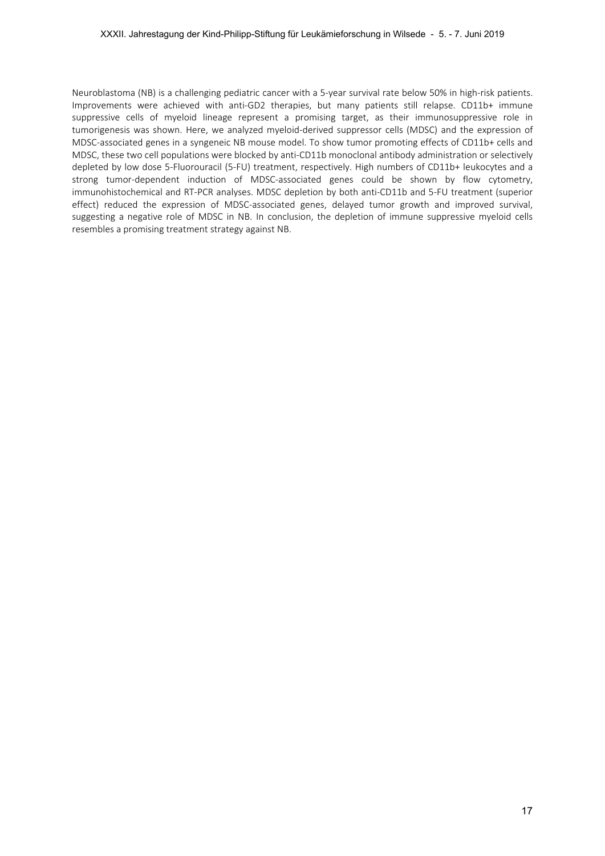Neuroblastoma (NB) is a challenging pediatric cancer with a 5‐year survival rate below 50% in high‐risk patients. Improvements were achieved with anti‐GD2 therapies, but many patients still relapse. CD11b+ immune suppressive cells of myeloid lineage represent a promising target, as their immunosuppressive role in tumorigenesis was shown. Here, we analyzed myeloid‐derived suppressor cells (MDSC) and the expression of MDSC‐associated genes in a syngeneic NB mouse model. To show tumor promoting effects of CD11b+ cells and MDSC, these two cell populations were blocked by anti‐CD11b monoclonal antibody administration or selectively depleted by low dose 5‐Fluorouracil (5‐FU) treatment, respectively. High numbers of CD11b+ leukocytes and a strong tumor-dependent induction of MDSC-associated genes could be shown by flow cytometry, immunohistochemical and RT-PCR analyses. MDSC depletion by both anti-CD11b and 5-FU treatment (superior effect) reduced the expression of MDSC‐associated genes, delayed tumor growth and improved survival, suggesting a negative role of MDSC in NB. In conclusion, the depletion of immune suppressive myeloid cells resembles a promising treatment strategy against NB.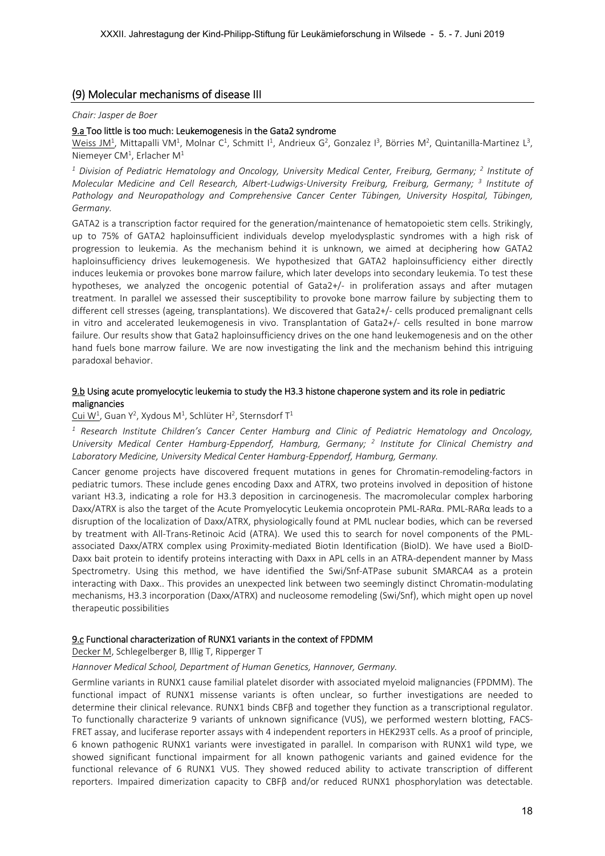# (9) Molecular mechanisms of disease III

#### *Chair: Jasper de Boer*

## 9.a Too little is too much: Leukemogenesis in the Gata2 syndrome

Weiss JM<sup>1</sup>, Mittapalli VM<sup>1</sup>, Molnar C<sup>1</sup>, Schmitt I<sup>1</sup>, Andrieux G<sup>2</sup>, Gonzalez I<sup>3</sup>, Börries M<sup>2</sup>, Quintanilla-Martinez L<sup>3</sup>, Niemeyer CM<sup>1</sup>, Erlacher M<sup>1</sup>

<sup>1</sup> Division of Pediatric Hematology and Oncology, University Medical Center, Freiburg, Germany; <sup>2</sup> Institute of *Molecular Medicine and Cell Research, Albert‐Ludwigs‐University Freiburg, Freiburg, Germany; <sup>3</sup> Institute of Pathology and Neuropathology and Comprehensive Cancer Center Tübingen, University Hospital, Tübingen, Germany.* 

GATA2 is a transcription factor required for the generation/maintenance of hematopoietic stem cells. Strikingly, up to 75% of GATA2 haploinsufficient individuals develop myelodysplastic syndromes with a high risk of progression to leukemia. As the mechanism behind it is unknown, we aimed at deciphering how GATA2 haploinsufficiency drives leukemogenesis. We hypothesized that GATA2 haploinsufficiency either directly induces leukemia or provokes bone marrow failure, which later develops into secondary leukemia. To test these hypotheses, we analyzed the oncogenic potential of Gata2+/- in proliferation assays and after mutagen treatment. In parallel we assessed their susceptibility to provoke bone marrow failure by subjecting them to different cell stresses (ageing, transplantations). We discovered that Gata2+/‐ cells produced premalignant cells in vitro and accelerated leukemogenesis in vivo. Transplantation of Gata2+/- cells resulted in bone marrow failure. Our results show that Gata2 haploinsufficiency drives on the one hand leukemogenesis and on the other hand fuels bone marrow failure. We are now investigating the link and the mechanism behind this intriguing paradoxal behavior.

## 9.b Using acute promyelocytic leukemia to study the H3.3 histone chaperone system and its role in pediatric malignancies

# Cui W<sup>1</sup>, Guan Y<sup>2</sup>, Xydous M<sup>1</sup>, Schlüter H<sup>2</sup>, Sternsdorf T<sup>1</sup>

<sup>1</sup> Research Institute Children's Cancer Center Hamburg and Clinic of Pediatric Hematology and Oncology, University Medical Center Hamburg-Eppendorf, Hamburg, Germany; <sup>2</sup> Institute for Clinical Chemistry and *Laboratory Medicine, University Medical Center Hamburg‐Eppendorf, Hamburg, Germany.* 

Cancer genome projects have discovered frequent mutations in genes for Chromatin-remodeling-factors in pediatric tumors. These include genes encoding Daxx and ATRX, two proteins involved in deposition of histone variant H3.3, indicating a role for H3.3 deposition in carcinogenesis. The macromolecular complex harboring Daxx/ATRX is also the target of the Acute Promyelocytic Leukemia oncoprotein PML‐RARα. PML‐RARα leads to a disruption of the localization of Daxx/ATRX, physiologically found at PML nuclear bodies, which can be reversed by treatment with All-Trans-Retinoic Acid (ATRA). We used this to search for novel components of the PMLassociated Daxx/ATRX complex using Proximity-mediated Biotin Identification (BioID). We have used a BioID-Daxx bait protein to identify proteins interacting with Daxx in APL cells in an ATRA‐dependent manner by Mass Spectrometry. Using this method, we have identified the Swi/Snf-ATPase subunit SMARCA4 as a protein interacting with Daxx.. This provides an unexpected link between two seemingly distinct Chromatin‐modulating mechanisms, H3.3 incorporation (Daxx/ATRX) and nucleosome remodeling (Swi/Snf), which might open up novel therapeutic possibilities

## 9.c Functional characterization of RUNX1 variants in the context of FPDMM

Decker M, Schlegelberger B, Illig T, Ripperger T

## *Hannover Medical School, Department of Human Genetics, Hannover, Germany.*

Germline variants in RUNX1 cause familial platelet disorder with associated myeloid malignancies (FPDMM). The functional impact of RUNX1 missense variants is often unclear, so further investigations are needed to determine their clinical relevance. RUNX1 binds CBFβ and together they function as a transcriptional regulator. To functionally characterize 9 variants of unknown significance (VUS), we performed western blotting, FACS‐ FRET assay, and luciferase reporter assays with 4 independent reporters in HEK293T cells. As a proof of principle, 6 known pathogenic RUNX1 variants were investigated in parallel. In comparison with RUNX1 wild type, we showed significant functional impairment for all known pathogenic variants and gained evidence for the functional relevance of 6 RUNX1 VUS. They showed reduced ability to activate transcription of different reporters. Impaired dimerization capacity to CBFβ and/or reduced RUNX1 phosphorylation was detectable.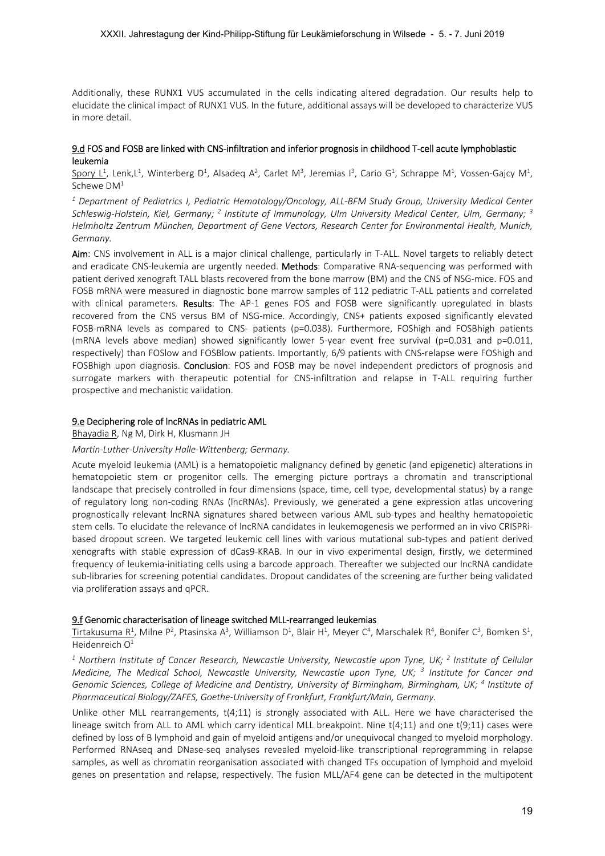Additionally, these RUNX1 VUS accumulated in the cells indicating altered degradation. Our results help to elucidate the clinical impact of RUNX1 VUS. In the future, additional assays will be developed to characterize VUS in more detail.

# 9.d FOS and FOSB are linked with CNS-infiltration and inferior prognosis in childhood T-cell acute lymphoblastic leukemia

Spory L<sup>1</sup>, Lenk,L<sup>1</sup>, Winterberg D<sup>1</sup>, Alsadeq A<sup>2</sup>, Carlet M<sup>3</sup>, Jeremias I<sup>3</sup>, Cario G<sup>1</sup>, Schrappe M<sup>1</sup>, Vossen-Gajcy M<sup>1</sup>, Schewe DM<sup>1</sup>

*1 Department of Pediatrics I, Pediatric Hematology/Oncology, ALL‐BFM Study Group, University Medical Center Schleswig‐Holstein, Kiel, Germany; <sup>2</sup> Institute of Immunology, Ulm University Medical Center, Ulm, Germany; <sup>3</sup> Helmholtz Zentrum München, Department of Gene Vectors, Research Center for Environmental Health, Munich, Germany.* 

Aim: CNS involvement in ALL is a major clinical challenge, particularly in T-ALL. Novel targets to reliably detect and eradicate CNS-leukemia are urgently needed. Methods: Comparative RNA-sequencing was performed with patient derived xenograft TALL blasts recovered from the bone marrow (BM) and the CNS of NSG-mice. FOS and FOSB mRNA were measured in diagnostic bone marrow samples of 112 pediatric T-ALL patients and correlated with clinical parameters. Results: The AP-1 genes FOS and FOSB were significantly upregulated in blasts recovered from the CNS versus BM of NSG-mice. Accordingly, CNS+ patients exposed significantly elevated FOSB-mRNA levels as compared to CNS- patients (p=0.038). Furthermore, FOShigh and FOSBhigh patients (mRNA levels above median) showed significantly lower 5-year event free survival (p=0.031 and p=0.011, respectively) than FOSlow and FOSBlow patients. Importantly, 6/9 patients with CNS-relapse were FOShigh and FOSBhigh upon diagnosis. Conclusion: FOS and FOSB may be novel independent predictors of prognosis and surrogate markers with therapeutic potential for CNS-infiltration and relapse in T-ALL requiring further prospective and mechanistic validation.

#### 9.e Deciphering role of lncRNAs in pediatric AML

Bhayadia R, Ng M, Dirk H, Klusmann JH

## *Martin‐Luther‐University Halle‐Wittenberg; Germany.*

Acute myeloid leukemia (AML) is a hematopoietic malignancy defined by genetic (and epigenetic) alterations in hematopoietic stem or progenitor cells. The emerging picture portrays a chromatin and transcriptional landscape that precisely controlled in four dimensions (space, time, cell type, developmental status) by a range of regulatory long non-coding RNAs (lncRNAs). Previously, we generated a gene expression atlas uncovering prognostically relevant lncRNA signatures shared between various AML sub-types and healthy hematopoietic stem cells. To elucidate the relevance of lncRNA candidates in leukemogenesis we performed an in vivo CRISPRi‐ based dropout screen. We targeted leukemic cell lines with various mutational sub-types and patient derived xenografts with stable expression of dCas9‐KRAB. In our in vivo experimental design, firstly, we determined frequency of leukemia‐initiating cells using a barcode approach. Thereafter we subjected our lncRNA candidate sub-libraries for screening potential candidates. Dropout candidates of the screening are further being validated via proliferation assays and qPCR.

## 9.f Genomic characterisation of lineage switched MLL‐rearranged leukemias

Tirtakusuma R<sup>1</sup>, Milne P<sup>2</sup>, Ptasinska A<sup>3</sup>, Williamson D<sup>1</sup>, Blair H<sup>1</sup>, Meyer C<sup>4</sup>, Marschalek R<sup>4</sup>, Bonifer C<sup>3</sup>, Bomken S<sup>1</sup>, Heidenreich  $O<sup>1</sup>$ 

<sup>1</sup> Northern Institute of Cancer Research, Newcastle University, Newcastle upon Tyne, UK; <sup>2</sup> Institute of Cellular Medicine, The Medical School, Newcastle University, Newcastle upon Tyne, UK; <sup>3</sup> Institute for Cancer and Genomic Sciences, College of Medicine and Dentistry, University of Birmingham, Birmingham, UK; <sup>4</sup> Institute of *Pharmaceutical Biology/ZAFES, Goethe‐University of Frankfurt, Frankfurt/Main, Germany.* 

Unlike other  $MLL$  rearrangements,  $t(4;11)$  is strongly associated with ALL. Here we have characterised the lineage switch from ALL to AML which carry identical MLL breakpoint. Nine t(4;11) and one t(9;11) cases were defined by loss of B lymphoid and gain of myeloid antigens and/or unequivocal changed to myeloid morphology. Performed RNAseq and DNase‐seq analyses revealed myeloid‐like transcriptional reprogramming in relapse samples, as well as chromatin reorganisation associated with changed TFs occupation of lymphoid and myeloid genes on presentation and relapse, respectively. The fusion MLL/AF4 gene can be detected in the multipotent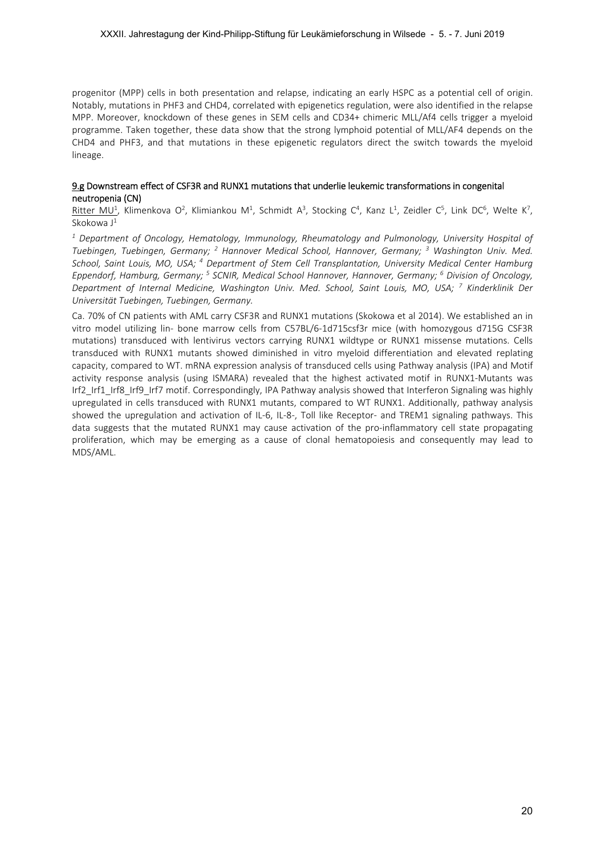progenitor (MPP) cells in both presentation and relapse, indicating an early HSPC as a potential cell of origin. Notably, mutations in PHF3 and CHD4, correlated with epigenetics regulation, were also identified in the relapse MPP. Moreover, knockdown of these genes in SEM cells and CD34+ chimeric MLL/Af4 cells trigger a myeloid programme. Taken together, these data show that the strong lymphoid potential of MLL/AF4 depends on the CHD4 and PHF3, and that mutations in these epigenetic regulators direct the switch towards the myeloid lineage.

# 9.g Downstream effect of CSF3R and RUNX1 mutations that underlie leukemic transformations in congenital neutropenia (CN)

Ritter MU<sup>1</sup>, Klimenkova O<sup>2</sup>, Klimiankou M<sup>1</sup>, Schmidt A<sup>3</sup>, Stocking C<sup>4</sup>, Kanz L<sup>1</sup>, Zeidler C<sup>5</sup>, Link DC<sup>6</sup>, Welte K<sup>7</sup>, Skokowa  $J^1$ 

*1 Department of Oncology, Hematology, Immunology, Rheumatology and Pulmonology, University Hospital of*  Tuebingen, Tuebingen, Germany; <sup>2</sup> Hannover Medical School, Hannover, Germany; <sup>3</sup> Washington Univ. Med. School, Saint Louis, MO, USA; <sup>4</sup> Department of Stem Cell Transplantation, University Medical Center Hamburg Eppendorf, Hamburg, Germany; <sup>5</sup> SCNIR, Medical School Hannover, Hannover, Germany; <sup>6</sup> Division of Oncology, *Department of Internal Medicine, Washington Univ. Med. School, Saint Louis, MO, USA; <sup>7</sup> Kinderklinik Der Universität Tuebingen, Tuebingen, Germany.* 

Ca. 70% of CN patients with AML carry CSF3R and RUNX1 mutations (Skokowa et al 2014). We established an in vitro model utilizing lin- bone marrow cells from C57BL/6-1d715csf3r mice (with homozygous d715G CSF3R mutations) transduced with lentivirus vectors carrying RUNX1 wildtype or RUNX1 missense mutations. Cells transduced with RUNX1 mutants showed diminished in vitro myeloid differentiation and elevated replating capacity, compared to WT. mRNA expression analysis of transduced cells using Pathway analysis (IPA) and Motif activity response analysis (using ISMARA) revealed that the highest activated motif in RUNX1-Mutants was Irf2\_Irf1\_Irf8\_Irf9\_Irf7 motif. Correspondingly, IPA Pathway analysis showed that Interferon Signaling was highly upregulated in cells transduced with RUNX1 mutants, compared to WT RUNX1. Additionally, pathway analysis showed the upregulation and activation of IL-6, IL-8-, Toll like Receptor- and TREM1 signaling pathways. This data suggests that the mutated RUNX1 may cause activation of the pro-inflammatory cell state propagating proliferation, which may be emerging as a cause of clonal hematopoiesis and consequently may lead to MDS/AML.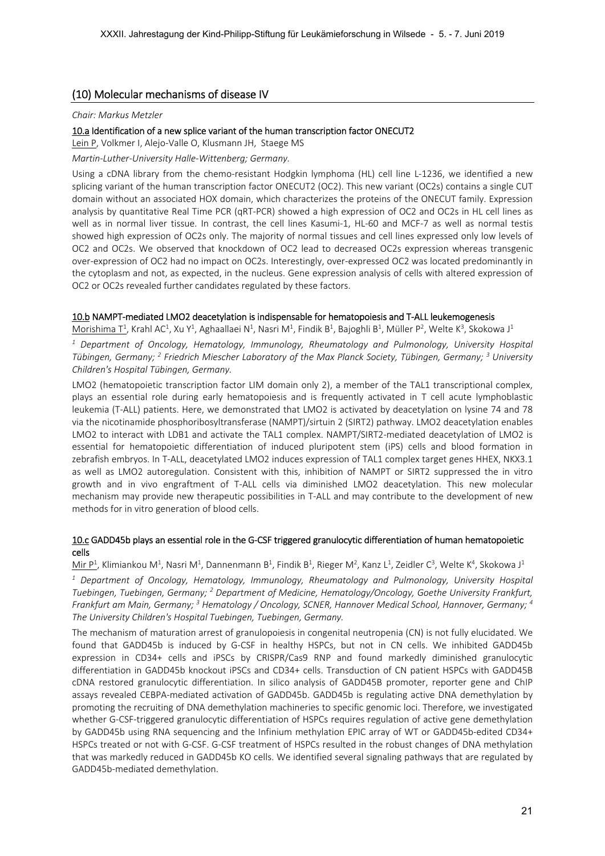# (10) Molecular mechanisms of disease IV

#### *Chair: Markus Metzler*

## 10.a Identification of a new splice variant of the human transcription factor ONECUT2

Lein P, Volkmer I, Alejo‐Valle O, Klusmann JH, Staege MS

*Martin‐Luther‐University Halle‐Wittenberg; Germany.* 

Using a cDNA library from the chemo-resistant Hodgkin lymphoma (HL) cell line L-1236, we identified a new splicing variant of the human transcription factor ONECUT2 (OC2). This new variant (OC2s) contains a single CUT domain without an associated HOX domain, which characterizes the proteins of the ONECUT family. Expression analysis by quantitative Real Time PCR (qRT-PCR) showed a high expression of OC2 and OC2s in HL cell lines as well as in normal liver tissue. In contrast, the cell lines Kasumi-1, HL-60 and MCF-7 as well as normal testis showed high expression of OC2s only. The majority of normal tissues and cell lines expressed only low levels of OC2 and OC2s. We observed that knockdown of OC2 lead to decreased OC2s expression whereas transgenic over‐expression of OC2 had no impact on OC2s. Interestingly, over‐expressed OC2 was located predominantly in the cytoplasm and not, as expected, in the nucleus. Gene expression analysis of cells with altered expression of OC2 or OC2s revealed further candidates regulated by these factors.

## 10.b NAMPT‐mediated LMO2 deacetylation is indispensable for hematopoiesis and T‐ALL leukemogenesis

Morishima T<sup>1</sup>, Krahl AC<sup>1</sup>, Xu Y<sup>1</sup>, Aghaallaei N<sup>1</sup>, Nasri M<sup>1</sup>, Findik B<sup>1</sup>, Bajoghli B<sup>1</sup>, Müller P<sup>2</sup>, Welte K<sup>3</sup>, Skokowa J<sup>1</sup>

<sup>1</sup> Department of Oncology, Hematology, Immunology, Rheumatology and Pulmonology, University Hospital *Tübingen, Germany; 2 Friedrich Miescher Laboratory of the Max Planck Society, Tübingen, Germany; 3 University Children's Hospital Tübingen, Germany.* 

LMO2 (hematopoietic transcription factor LIM domain only 2), a member of the TAL1 transcriptional complex, plays an essential role during early hematopoiesis and is frequently activated in T cell acute lymphoblastic leukemia (T‐ALL) patients. Here, we demonstrated that LMO2 is activated by deacetylation on lysine 74 and 78 via the nicotinamide phosphoribosyltransferase (NAMPT)/sirtuin 2 (SIRT2) pathway. LMO2 deacetylation enables LMO2 to interact with LDB1 and activate the TAL1 complex. NAMPT/SIRT2-mediated deacetylation of LMO2 is essential for hematopoietic differentiation of induced pluripotent stem (iPS) cells and blood formation in zebrafish embryos. In T‐ALL, deacetylated LMO2 induces expression of TAL1 complex target genes HHEX, NKX3.1 as well as LMO2 autoregulation. Consistent with this, inhibition of NAMPT or SIRT2 suppressed the in vitro growth and in vivo engraftment of T-ALL cells via diminished LMO2 deacetylation. This new molecular mechanism may provide new therapeutic possibilities in T‐ALL and may contribute to the development of new methods for in vitro generation of blood cells.

# 10.c GADD45b plays an essential role in the G-CSF triggered granulocytic differentiation of human hematopoietic cells

 $M$ ir  $P^1$ , Klimiankou M<sup>1</sup>, Nasri M<sup>1</sup>, Dannenmann B<sup>1</sup>, Findik B<sup>1</sup>, Rieger M<sup>2</sup>, Kanz L<sup>1</sup>, Zeidler C<sup>3</sup>, Welte K<sup>4</sup>, Skokowa J<sup>1</sup>

<sup>1</sup> Department of Oncology, Hematology, Immunology, Rheumatology and Pulmonology, University Hospital *Tuebingen, Tuebingen, Germany; 2 Department of Medicine, Hematology/Oncology, Goethe University Frankfurt,*  Frankfurt am Main, Germany; <sup>3</sup> Hematology / Oncology, SCNER, Hannover Medical School, Hannover, Germany; <sup>4</sup> *The University Children's Hospital Tuebingen, Tuebingen, Germany.* 

The mechanism of maturation arrest of granulopoiesis in congenital neutropenia (CN) is not fully elucidated. We found that GADD45b is induced by G-CSF in healthy HSPCs, but not in CN cells. We inhibited GADD45b expression in CD34+ cells and iPSCs by CRISPR/Cas9 RNP and found markedly diminished granulocytic differentiation in GADD45b knockout iPSCs and CD34+ cells. Transduction of CN patient HSPCs with GADD45B cDNA restored granulocytic differentiation. In silico analysis of GADD45B promoter, reporter gene and ChIP assays revealed CEBPA‐mediated activation of GADD45b. GADD45b is regulating active DNA demethylation by promoting the recruiting of DNA demethylation machineries to specific genomic loci. Therefore, we investigated whether G‐CSF‐triggered granulocytic differentiation of HSPCs requires regulation of active gene demethylation by GADD45b using RNA sequencing and the Infinium methylation EPIC array of WT or GADD45b-edited CD34+ HSPCs treated or not with G-CSF. G-CSF treatment of HSPCs resulted in the robust changes of DNA methylation that was markedly reduced in GADD45b KO cells. We identified several signaling pathways that are regulated by GADD45b‐mediated demethylation.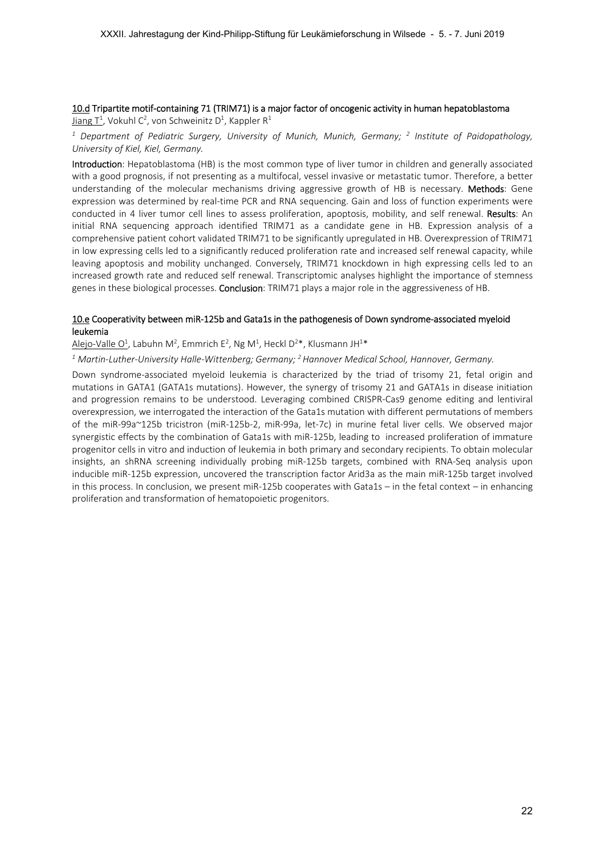# 10.d Tripartite motif‐containing 71 (TRIM71) is a major factor of oncogenic activity in human hepatoblastoma

 $J$ iang T<sup>1</sup>, Vokuhl C<sup>2</sup>, von Schweinitz D<sup>1</sup>, Kappler R<sup>1</sup>

<sup>1</sup> Department of Pediatric Surgery, University of Munich, Munich, Germany; <sup>2</sup> Institute of Paidopathology, *University of Kiel, Kiel, Germany.* 

Introduction: Hepatoblastoma (HB) is the most common type of liver tumor in children and generally associated with a good prognosis, if not presenting as a multifocal, vessel invasive or metastatic tumor. Therefore, a better understanding of the molecular mechanisms driving aggressive growth of HB is necessary. Methods: Gene expression was determined by real‐time PCR and RNA sequencing. Gain and loss of function experiments were conducted in 4 liver tumor cell lines to assess proliferation, apoptosis, mobility, and self renewal. Results: An initial RNA sequencing approach identified TRIM71 as a candidate gene in HB. Expression analysis of a comprehensive patient cohort validated TRIM71 to be significantly upregulated in HB. Overexpression of TRIM71 in low expressing cells led to a significantly reduced proliferation rate and increased self renewal capacity, while leaving apoptosis and mobility unchanged. Conversely, TRIM71 knockdown in high expressing cells led to an increased growth rate and reduced self renewal. Transcriptomic analyses highlight the importance of stemness genes in these biological processes. **Conclusion**: TRIM71 plays a major role in the aggressiveness of HB.

## 10.e Cooperativity between miR‐125b and Gata1s in the pathogenesis of Down syndrome‐associated myeloid leukemia

Alejo-Valle O<sup>1</sup>, Labuhn M<sup>2</sup>, Emmrich E<sup>2</sup>, Ng M<sup>1</sup>, Heckl D<sup>2</sup>\*, Klusmann JH<sup>1</sup>\*

*1 Martin‐Luther‐University Halle‐Wittenberg; Germany; 2 Hannover Medical School, Hannover, Germany.* 

Down syndrome-associated myeloid leukemia is characterized by the triad of trisomy 21, fetal origin and mutations in GATA1 (GATA1s mutations). However, the synergy of trisomy 21 and GATA1s in disease initiation and progression remains to be understood. Leveraging combined CRISPR‐Cas9 genome editing and lentiviral overexpression, we interrogated the interaction of the Gata1s mutation with different permutations of members of the miR‐99a~125b tricistron (miR‐125b‐2, miR‐99a, let‐7c) in murine fetal liver cells. We observed major synergistic effects by the combination of Gata1s with miR‐125b, leading to increased proliferation of immature progenitor cells in vitro and induction of leukemia in both primary and secondary recipients. To obtain molecular insights, an shRNA screening individually probing miR-125b targets, combined with RNA-Seq analysis upon inducible miR‐125b expression, uncovered the transcription factor Arid3a as the main miR‐125b target involved in this process. In conclusion, we present miR-125b cooperates with Gata1s – in the fetal context – in enhancing proliferation and transformation of hematopoietic progenitors.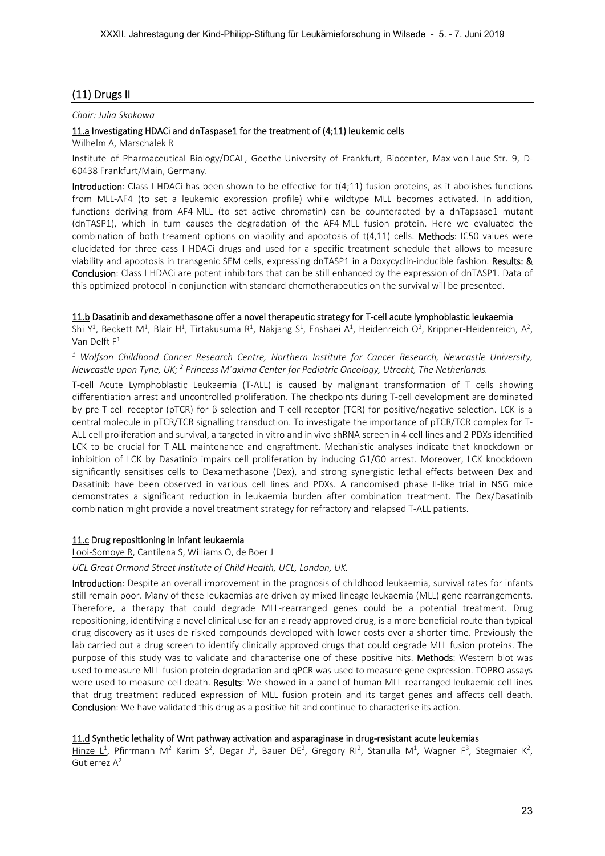# (11) Drugs II

#### *Chair: Julia Skokowa*

## 11.a Investigating HDACi and dnTaspase1 for the treatment of (4;11) leukemic cells

Wilhelm A, Marschalek R

Institute of Pharmaceutical Biology/DCAL, Goethe‐University of Frankfurt, Biocenter, Max‐von‐Laue‐Str. 9, D‐ 60438 Frankfurt/Main, Germany.

Introduction: Class I HDACi has been shown to be effective for  $t(4;11)$  fusion proteins, as it abolishes functions from MLL-AF4 (to set a leukemic expression profile) while wildtype MLL becomes activated. In addition, functions deriving from AF4-MLL (to set active chromatin) can be counteracted by a dnTapsase1 mutant (dnTASP1), which in turn causes the degradation of the AF4‐MLL fusion protein. Here we evaluated the combination of both treament options on viability and apoptosis of  $t(4,11)$  cells. **Methods**: IC50 values were elucidated for three cass I HDACi drugs and used for a specific treatment schedule that allows to measure viability and apoptosis in transgenic SEM cells, expressing dnTASP1 in a Doxycyclin-inducible fashion. Results: & Conclusion: Class I HDACi are potent inhibitors that can be still enhanced by the expression of dnTASP1. Data of this optimized protocol in conjunction with standard chemotherapeutics on the survival will be presented.

## 11.b Dasatinib and dexamethasone offer a novel therapeutic strategy for T‐cell acute lymphoblastic leukaemia

Shi Y<sup>1</sup>, Beckett M<sup>1</sup>, Blair H<sup>1</sup>, Tirtakusuma R<sup>1</sup>, Nakjang S<sup>1</sup>, Enshaei A<sup>1</sup>, Heidenreich O<sup>2</sup>, Krippner-Heidenreich, A<sup>2</sup>, Van Delft  $F^1$ 

<sup>1</sup> Wolfson Childhood Cancer Research Centre, Northern Institute for Cancer Research, Newcastle University, *Newcastle upon Tyne, UK; 2 Princess M´axima Center for Pediatric Oncology, Utrecht, The Netherlands.* 

T‐cell Acute Lymphoblastic Leukaemia (T‐ALL) is caused by malignant transformation of T cells showing differentiation arrest and uncontrolled proliferation. The checkpoints during T‐cell development are dominated by pre‐T‐cell receptor (pTCR) for β‐selection and T‐cell receptor (TCR) for positive/negative selection. LCK is a central molecule in pTCR/TCR signalling transduction. To investigate the importance of pTCR/TCR complex for T‐ ALL cell proliferation and survival, a targeted in vitro and in vivo shRNA screen in 4 cell lines and 2 PDXs identified LCK to be crucial for T‐ALL maintenance and engraftment. Mechanistic analyses indicate that knockdown or inhibition of LCK by Dasatinib impairs cell proliferation by inducing G1/G0 arrest. Moreover, LCK knockdown significantly sensitises cells to Dexamethasone (Dex), and strong synergistic lethal effects between Dex and Dasatinib have been observed in various cell lines and PDXs. A randomised phase II-like trial in NSG mice demonstrates a significant reduction in leukaemia burden after combination treatment. The Dex/Dasatinib combination might provide a novel treatment strategy for refractory and relapsed T‐ALL patients.

## 11.c Drug repositioning in infant leukaemia

Looi‐Somoye R, Cantilena S, Williams O, de Boer J

*UCL Great Ormond Street Institute of Child Health, UCL, London, UK.* 

Introduction: Despite an overall improvement in the prognosis of childhood leukaemia, survival rates for infants still remain poor. Many of these leukaemias are driven by mixed lineage leukaemia (MLL) gene rearrangements. Therefore, a therapy that could degrade MLL‐rearranged genes could be a potential treatment. Drug repositioning, identifying a novel clinical use for an already approved drug, is a more beneficial route than typical drug discovery as it uses de‐risked compounds developed with lower costs over a shorter time. Previously the lab carried out a drug screen to identify clinically approved drugs that could degrade MLL fusion proteins. The purpose of this study was to validate and characterise one of these positive hits. Methods: Western blot was used to measure MLL fusion protein degradation and qPCR was used to measure gene expression. TOPRO assays were used to measure cell death. Results: We showed in a panel of human MLL-rearranged leukaemic cell lines that drug treatment reduced expression of MLL fusion protein and its target genes and affects cell death. Conclusion: We have validated this drug as a positive hit and continue to characterise its action.

## 11.d Synthetic lethality of Wnt pathway activation and asparaginase in drug-resistant acute leukemias

Hinze L<sup>1</sup>, Pfirrmann M<sup>2</sup> Karim S<sup>2</sup>, Degar J<sup>2</sup>, Bauer DE<sup>2</sup>, Gregory RI<sup>2</sup>, Stanulla M<sup>1</sup>, Wagner F<sup>3</sup>, Stegmaier K<sup>2</sup>, Gutierrez A2